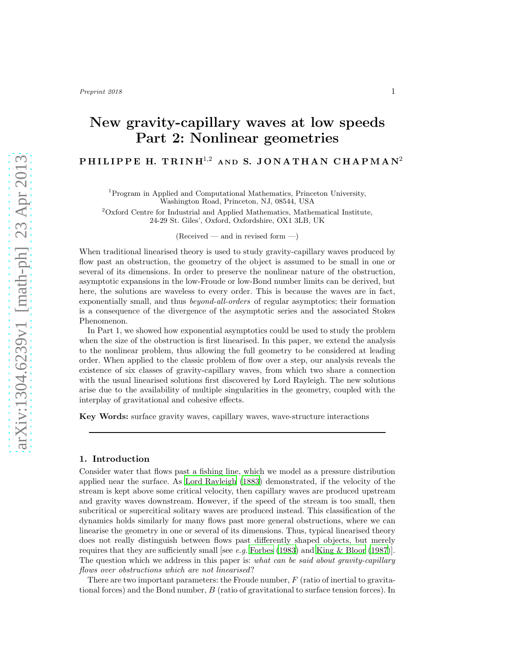# New gravity-capillary waves at low speeds Part 2: Nonlinear geometries

# P H I L I P P E H. T R I N H<sup>1,2</sup> AND S. JONATHAN CHAPMAN<sup>2</sup>

<sup>1</sup>Program in Applied and Computational Mathematics, Princeton University, Washington Road, Princeton, NJ, 08544, USA

<sup>2</sup>Oxford Centre for Industrial and Applied Mathematics, Mathematical Institute, 24-29 St. Giles', Oxford, Oxfordshire, OX1 3LB, UK

 $(Received - and in revised form -)$ 

When traditional linearised theory is used to study gravity-capillary waves produced by flow past an obstruction, the geometry of the object is assumed to be small in one or several of its dimensions. In order to preserve the nonlinear nature of the obstruction, asymptotic expansions in the low-Froude or low-Bond number limits can be derived, but here, the solutions are waveless to every order. This is because the waves are in fact, exponentially small, and thus *beyond-all-orders* of regular asymptotics; their formation is a consequence of the divergence of the asymptotic series and the associated Stokes Phenomenon.

In Part 1, we showed how exponential asymptotics could be used to study the problem when the size of the obstruction is first linearised. In this paper, we extend the analysis to the nonlinear problem, thus allowing the full geometry to be considered at leading order. When applied to the classic problem of flow over a step, our analysis reveals the existence of six classes of gravity-capillary waves, from which two share a connection with the usual linearised solutions first discovered by Lord Rayleigh. The new solutions arise due to the availability of multiple singularities in the geometry, coupled with the interplay of gravitational and cohesive effects.

Key Words: surface gravity waves, capillary waves, wave-structure interactions

## 1. Introduction

Consider water that flows past a fishing line, which we model as a pressure distribution applied near the surface. As [Lord Rayleigh \(1883\)](#page-30-0) demonstrated, if the velocity of the stream is kept above some critical velocity, then capillary waves are produced upstream and gravity waves downstream. However, if the speed of the stream is too small, then subcritical or supercitical solitary waves are produced instead. This classification of the dynamics holds similarly for many flows past more general obstructions, where we can linearise the geometry in one or several of its dimensions. Thus, typical linearised theory does not really distinguish between flows past differently shaped objects, but merely requires that they are sufficiently small [see e.g. [Forbes \(1983\)](#page-30-1) and [King & Bloor \(1987](#page-30-2))]. The question which we address in this paper is: what can be said about gravity-capillary flows over obstructions which are not linearised?

There are two important parameters: the Froude number,  $F$  (ratio of inertial to gravitational forces) and the Bond number, B (ratio of gravitational to surface tension forces). In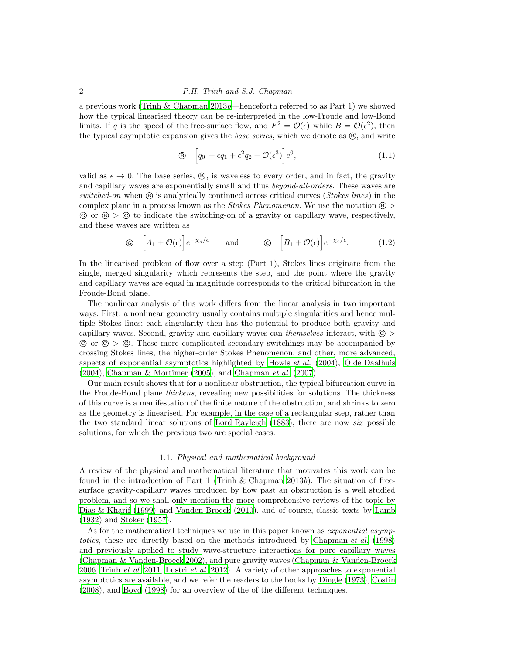a previous work [\(Trinh & Chapman 2013](#page-30-3)b—henceforth referred to as Part 1) we showed how the typical linearised theory can be re-interpreted in the low-Froude and low-Bond limits. If q is the speed of the free-surface flow, and  $F^2 = \mathcal{O}(\epsilon)$  while  $B = \mathcal{O}(\epsilon^2)$ , then the typical asymptotic expansion gives the *base series*, which we denote as  $\circledast$ , and write

$$
\mathbf{B} \quad \left[ q_0 + \epsilon q_1 + \epsilon^2 q_2 + \mathcal{O}(\epsilon^3) \right] e^0, \tag{1.1}
$$

valid as  $\epsilon \to 0$ . The base series,  $\circledast$ , is waveless to every order, and in fact, the gravity and capillary waves are exponentially small and thus beyond-all-orders. These waves are switched-on when  $\circledR$  is analytically continued across critical curves (*Stokes lines*) in the complex plane in a process known as the *Stokes Phenomenon*. We use the notation  $\circledR$  $\circ$  or  $\circledast$   $>$   $\circledcirc$  to indicate the switching-on of a gravity or capillary wave, respectively, and these waves are written as

$$
\textcircled{6} \quad \left[A_1 + \mathcal{O}(\epsilon)\right] e^{-\chi_g/\epsilon} \qquad \text{and} \qquad \textcircled{6} \quad \left[B_1 + \mathcal{O}(\epsilon)\right] e^{-\chi_c/\epsilon}. \tag{1.2}
$$

In the linearised problem of flow over a step (Part 1), Stokes lines originate from the single, merged singularity which represents the step, and the point where the gravity and capillary waves are equal in magnitude corresponds to the critical bifurcation in the Froude-Bond plane.

The nonlinear analysis of this work differs from the linear analysis in two important ways. First, a nonlinear geometry usually contains multiple singularities and hence multiple Stokes lines; each singularity then has the potential to produce both gravity and capillary waves. Second, gravity and capillary waves can themselves interact, with  $\odot$  $\odot$  or  $\odot$   $>$   $\odot$ . These more complicated secondary switchings may be accompanied by crossing Stokes lines, the higher-order Stokes Phenomenon, and other, more advanced, aspects of exponential asymptotics highlighted by [Howls](#page-30-4) et al. [\(2004\)](#page-30-4), [Olde Daalhuis](#page-30-5)  $(2004)$ , [Chapman](#page-29-1) & Mortimer  $(2005)$ , and Chapman et al.  $(2007)$ .

Our main result shows that for a nonlinear obstruction, the typical bifurcation curve in the Froude-Bond plane *thickens*, revealing new possibilities for solutions. The thickness of this curve is a manifestation of the finite nature of the obstruction, and shrinks to zero as the geometry is linearised. For example, in the case of a rectangular step, rather than the two standard linear solutions of [Lord Rayleigh \(1883](#page-30-0)), there are now *six* possible solutions, for which the previous two are special cases.

#### 1.1. Physical and mathematical background

A review of the physical and mathematical literature that motivates this work can be found in the introduction of Part 1 (Trinh  $\&$  Chapman 2013b). The situation of freesurface gravity-capillary waves produced by flow past an obstruction is a well studied problem, and so we shall only mention the more comprehensive reviews of the topic by [Dias & Kharif \(1999](#page-29-2)) and [Vanden-Broeck \(2010\)](#page-30-6), and of course, classic texts by [Lamb](#page-30-7) [\(1932\)](#page-30-7) and [Stoker \(1957](#page-30-8)).

As for the mathematical techniques we use in this paper known as *exponential asymp*totics, these are directly based on the methods introduced by [Chapman](#page-29-3) et al. [\(1998\)](#page-29-3) and previously applied to study wave-structure interactions for pure capillary waves [\(Chapman & Vanden-Broeck 2002\)](#page-29-4), and pure gravity waves [\(Chapman & Vanden-Broeck](#page-29-5) [2006,](#page-29-5) [Trinh](#page-30-9) et al. [2011,](#page-30-9) [Lustri](#page-30-10) et al. [2012](#page-30-10)). A variety of other approaches to exponential asymptotics are available, and we refer the readers to the books by [Dingle \(1973\)](#page-30-11), [Costin](#page-29-6) [\(2008\)](#page-29-6), and [Boyd \(1998\)](#page-29-7) for an overview of the of the different techniques.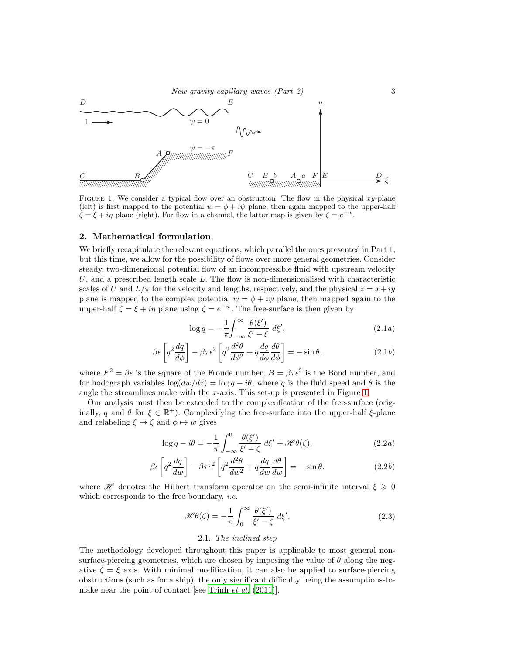

<span id="page-2-0"></span>FIGURE 1. We consider a typical flow over an obstruction. The flow in the physical  $xy$ -plane (left) is first mapped to the potential  $w = \phi + i\psi$  plane, then again mapped to the upper-half  $\zeta = \xi + i\eta$  plane (right). For flow in a channel, the latter map is given by  $\zeta = e^{-w}$ .

### 2. Mathematical formulation

We briefly recapitulate the relevant equations, which parallel the ones presented in Part 1, but this time, we allow for the possibility of flows over more general geometries. Consider steady, two-dimensional potential flow of an incompressible fluid with upstream velocity U, and a prescribed length scale  $L$ . The flow is non-dimensionalised with characteristic scales of U and  $L/\pi$  for the velocity and lengths, respectively, and the physical  $z = x+iy$ plane is mapped to the complex potential  $w = \phi + i\psi$  plane, then mapped again to the upper-half  $\zeta = \xi + i\eta$  plane using  $\zeta = e^{-w}$ . The free-surface is then given by

$$
\log q = -\frac{1}{\pi} \int_{-\infty}^{\infty} \frac{\theta(\xi')}{\xi' - \xi} d\xi', \qquad (2.1a)
$$

$$
\beta \epsilon \left[ q^2 \frac{dq}{d\phi} \right] - \beta \tau \epsilon^2 \left[ q^2 \frac{d^2 \theta}{d\phi^2} + q \frac{dq}{d\phi} \frac{d\theta}{d\phi} \right] = -\sin \theta, \qquad (2.1b)
$$

where  $F^2 = \beta \epsilon$  is the square of the Froude number,  $B = \beta \tau \epsilon^2$  is the Bond number, and for hodograph variables  $\log(dw/dz) = \log q - i\theta$ , where q is the fluid speed and  $\theta$  is the angle the streamlines make with the  $x$ -axis. This set-up is presented in Figure [1.](#page-2-0)

Our analysis must then be extended to the complexification of the free-surface (originally, q and  $\theta$  for  $\xi \in \mathbb{R}^+$ ). Complexifying the free-surface into the upper-half  $\xi$ -plane and relabeling  $\xi \mapsto \zeta$  and  $\phi \mapsto w$  gives

$$
\log q - i\theta = -\frac{1}{\pi} \int_{-\infty}^{0} \frac{\theta(\xi')}{\xi' - \zeta} d\xi' + \mathcal{H}\theta(\zeta), \qquad (2.2a)
$$

$$
\beta \epsilon \left[ q^2 \frac{dq}{dw} \right] - \beta \tau \epsilon^2 \left[ q^2 \frac{d^2 \theta}{dw^2} + q \frac{dq}{dw} \frac{d\theta}{dw} \right] = -\sin \theta.
$$
 (2.2b)

where  $\mathscr{H}$  denotes the Hilbert transform operator on the semi-infinite interval  $\xi \geq 0$ which corresponds to the free-boundary, *i.e.* 

<span id="page-2-1"></span>
$$
\mathcal{H}\theta(\zeta) = -\frac{1}{\pi} \int_0^\infty \frac{\theta(\xi')}{\xi' - \zeta} d\xi'.\tag{2.3}
$$

#### <span id="page-2-2"></span>2.1. The inclined step

The methodology developed throughout this paper is applicable to most general nonsurface-piercing geometries, which are chosen by imposing the value of  $\theta$  along the negative  $\zeta = \xi$  axis. With minimal modification, it can also be applied to surface-piercing obstructions (such as for a ship), the only significant difficulty being the assumptions-to-make near the point of contact [see [Trinh](#page-30-9) et al. [\(2011\)](#page-30-9)].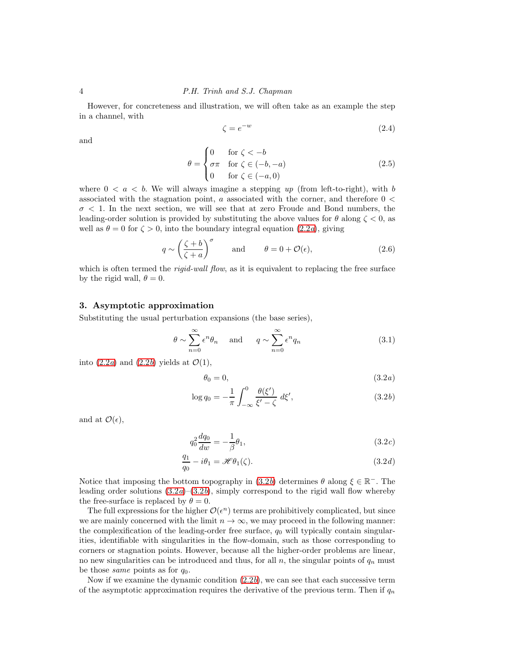However, for concreteness and illustration, we will often take as an example the step in a channel, with

<span id="page-3-3"></span>
$$
\zeta = e^{-w} \tag{2.4}
$$

and

$$
\theta = \begin{cases}\n0 & \text{for } \zeta < -b \\
\sigma \pi & \text{for } \zeta \in (-b, -a) \\
0 & \text{for } \zeta \in (-a, 0)\n\end{cases}
$$
\n(2.5)

where  $0 < a < b$ . We will always imagine a stepping up (from left-to-right), with b associated with the stagnation point,  $a$  associated with the corner, and therefore  $0 <$  $\sigma$  < 1. In the next section, we will see that at zero Froude and Bond numbers, the leading-order solution is provided by substituting the above values for  $\theta$  along  $\zeta < 0$ , as well as  $\theta = 0$  for  $\zeta > 0$ , into the boundary integral equation  $(2.2a)$ , giving

<span id="page-3-2"></span>
$$
q \sim \left(\frac{\zeta + b}{\zeta + a}\right)^{\sigma} \quad \text{and} \quad \theta = 0 + \mathcal{O}(\epsilon), \tag{2.6}
$$

which is often termed the *rigid-wall flow*, as it is equivalent to replacing the free surface by the rigid wall,  $\theta = 0$ .

# 3. Asymptotic approximation

Substituting the usual perturbation expansions (the base series),

$$
\theta \sim \sum_{n=0}^{\infty} \epsilon^n \theta_n \quad \text{and} \quad q \sim \sum_{n=0}^{\infty} \epsilon^n q_n \tag{3.1}
$$

into  $(2.2a)$  and  $(2.2b)$  yields at  $\mathcal{O}(1)$ ,

<span id="page-3-1"></span><span id="page-3-0"></span>
$$
\theta_0 = 0,\tag{3.2a}
$$

$$
\log q_0 = -\frac{1}{\pi} \int_{-\infty}^0 \frac{\theta(\xi')}{\xi' - \zeta} d\xi', \qquad (3.2b)
$$

and at  $\mathcal{O}(\epsilon)$ ,

$$
q_0^2 \frac{dq_0}{dw} = -\frac{1}{\beta} \theta_1,\tag{3.2c}
$$

$$
\frac{q_1}{q_0} - i\theta_1 = \mathcal{H}\theta_1(\zeta).
$$
\n(3.2*d*)

Notice that imposing the bottom topography in  $(3.2b)$  determines  $\theta$  along  $\xi \in \mathbb{R}^-$ . The leading order solutions  $(3.2a)$  $(3.2a)$ – $(3.2b)$ , simply correspond to the rigid wall flow whereby the free-surface is replaced by  $\theta = 0$ .

The full expressions for the higher  $\mathcal{O}(\epsilon^n)$  terms are prohibitively complicated, but since we are mainly concerned with the limit  $n \to \infty$ , we may proceed in the following manner: the complexification of the leading-order free surface,  $q_0$  will typically contain singularities, identifiable with singularities in the flow-domain, such as those corresponding to corners or stagnation points. However, because all the higher-order problems are linear, no new singularities can be introduced and thus, for all  $n$ , the singular points of  $q_n$  must be those *same* points as for  $q_0$ .

Now if we examine the dynamic condition  $(2.2b)$ , we can see that each successive term of the asymptotic approximation requires the derivative of the previous term. Then if  $q_n$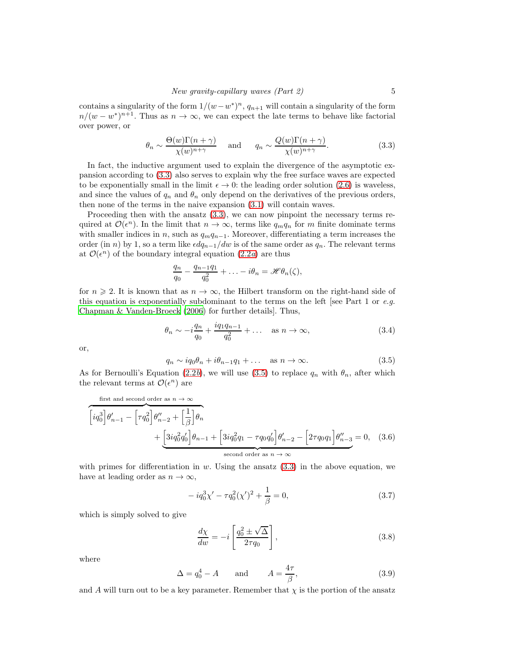contains a singularity of the form  $1/(w-w^*)^n$ ,  $q_{n+1}$  will contain a singularity of the form  $n/(w-w^*)^{n+1}$ . Thus as  $n \to \infty$ , we can expect the late terms to behave like factorial over power, or

<span id="page-4-0"></span>
$$
\theta_n \sim \frac{\Theta(w)\Gamma(n+\gamma)}{\chi(w)^{n+\gamma}} \quad \text{and} \quad q_n \sim \frac{Q(w)\Gamma(n+\gamma)}{\chi(w)^{n+\gamma}}.
$$
 (3.3)

In fact, the inductive argument used to explain the divergence of the asymptotic expansion according to [\(3.3\)](#page-4-0) also serves to explain why the free surface waves are expected to be exponentially small in the limit  $\epsilon \to 0$ : the leading order solution [\(2.6\)](#page-3-2) is waveless, and since the values of  $q_n$  and  $\theta_n$  only depend on the derivatives of the previous orders, then none of the terms in the naive expansion [\(3.1\)](#page-3-1) will contain waves.

Proceeding then with the ansatz  $(3.3)$ , we can now pinpoint the necessary terms required at  $\mathcal{O}(\epsilon^n)$ . In the limit that  $n \to \infty$ , terms like  $q_m q_n$  for m finite dominate terms with smaller indices in n, such as  $q_mq_{n-1}$ . Moreover, differentiating a term increases the order (in n) by 1, so a term like  $\epsilon dq_{n-1}/dw$  is of the same order as  $q_n$ . The relevant terms at  $\mathcal{O}(\epsilon^n)$  of the boundary integral equation  $(2.2a)$  are thus

$$
\frac{q_n}{q_0} - \frac{q_{n-1}q_1}{q_0^2} + \ldots - i\theta_n = \mathcal{H}\theta_n(\zeta),
$$

for  $n \geqslant 2$ . It is known that as  $n \to \infty$ , the Hilbert transform on the right-hand side of this equation is exponentially subdominant to the terms on the left [see Part 1 or  $e.g.$ [Chapman & Vanden-Broeck \(2006\)](#page-29-5) for further details]. Thus,

<span id="page-4-6"></span>
$$
\theta_n \sim -i \frac{q_n}{q_0} + \frac{i q_1 q_{n-1}}{q_0^2} + \dots \quad \text{as } n \to \infty,
$$
\n(3.4)

or,

<span id="page-4-1"></span>
$$
q_n \sim iq_0\theta_n + i\theta_{n-1}q_1 + \dots \quad \text{as } n \to \infty. \tag{3.5}
$$

As for Bernoulli's Equation [\(2.2](#page-2-2)b), we will use [\(3.5\)](#page-4-1) to replace  $q_n$  with  $\theta_n$ , after which the relevant terms at  $\mathcal{O}(\epsilon^n)$  are

first and second order as 
$$
n \to \infty
$$
  
\n
$$
\left[ i q_0^3 \right] \theta'_{n-1} - \left[ \tau q_0^2 \right] \theta''_{n-2} + \left[ \frac{1}{\beta} \right] \theta_n
$$
\n
$$
+ \left[ 3i q_0^2 q_0' \right] \theta_{n-1} + \left[ 3i q_0^2 q_1 - \tau q_0 q_0' \right] \theta'_{n-2} - \left[ 2\tau q_0 q_1 \right] \theta''_{n-3} = 0, \quad (3.6)
$$
\nsecond order as  $n \to \infty$ 

with primes for differentiation in  $w$ . Using the ansatz  $(3.3)$  in the above equation, we have at leading order as  $n \to \infty$ ,

<span id="page-4-3"></span><span id="page-4-2"></span>
$$
-iq_0^3 \chi' - \tau q_0^2 (\chi')^2 + \frac{1}{\beta} = 0,
$$
\n(3.7)

which is simply solved to give

<span id="page-4-4"></span>
$$
\frac{d\chi}{dw} = -i \left[ \frac{q_0^2 \pm \sqrt{\Delta}}{2\tau q_0} \right],\tag{3.8}
$$

where

<span id="page-4-5"></span>
$$
\Delta = q_0^4 - A \qquad \text{and} \qquad A = \frac{4\tau}{\beta}, \tag{3.9}
$$

and A will turn out to be a key parameter. Remember that  $\chi$  is the portion of the ansatz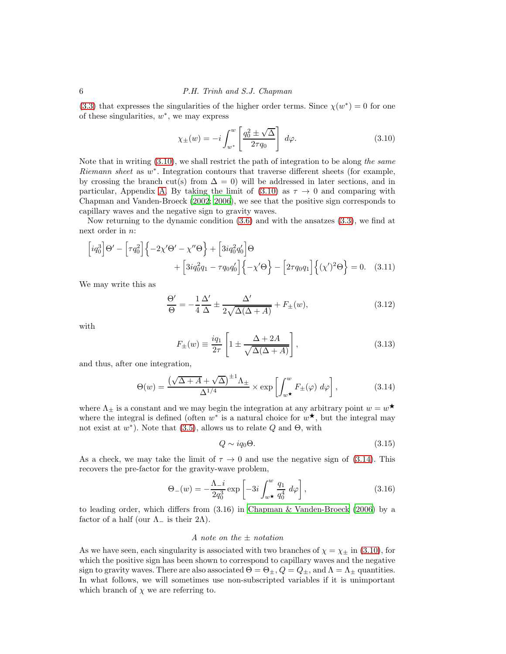[\(3.3\)](#page-4-0) that expresses the singularities of the higher order terms. Since  $\chi(w^*)=0$  for one of these singularities,  $w^*$ , we may express

<span id="page-5-0"></span>
$$
\chi_{\pm}(w) = -i \int_{w^*}^w \left[ \frac{q_0^2 \pm \sqrt{\Delta}}{2\tau q_0} \right] d\varphi.
$$
 (3.10)

Note that in writing  $(3.10)$ , we shall restrict the path of integration to be along the same Riemann sheet as  $w^*$ . Integration contours that traverse different sheets (for example, by crossing the branch cut(s) from  $\Delta = 0$ ) will be addressed in later sections, and in particular, Appendix [A.](#page-24-0) By taking the limit of  $(3.10)$  as  $\tau \to 0$  and comparing with Chapman and Vanden-Broeck [\(2002;](#page-29-4) [2006](#page-29-5)), we see that the positive sign corresponds to capillary waves and the negative sign to gravity waves.

Now returning to the dynamic condition [\(3.6\)](#page-4-2) and with the ansatzes [\(3.3\)](#page-4-0), we find at next order in n:

$$
\begin{aligned}\n\left[iq_0^3\right]\Theta' - \left[\tau q_0^2\right]\left\{-2\chi'\Theta' - \chi''\Theta\right\} + \left[3iq_0^2q_0'\right]\Theta \\
+ \left[3iq_0^2q_1 - \tau q_0q_0'\right]\left\{-\chi'\Theta\right\} - \left[2\tau q_0q_1\right]\left\{(\chi')^2\Theta\right\} = 0. \quad (3.11)\n\end{aligned}
$$

We may write this as

$$
\frac{\Theta'}{\Theta} = -\frac{1}{4}\frac{\Delta'}{\Delta} \pm \frac{\Delta'}{2\sqrt{\Delta(\Delta + A)}} + F_{\pm}(w),\tag{3.12}
$$

with

$$
F_{\pm}(w) \equiv \frac{iq_1}{2\tau} \left[ 1 \pm \frac{\Delta + 2A}{\sqrt{\Delta(\Delta + A)}} \right],
$$
\n(3.13)

and thus, after one integration,

<span id="page-5-1"></span>
$$
\Theta(w) = \frac{\left(\sqrt{\Delta + A} + \sqrt{\Delta}\right)^{\pm 1} \Lambda_{\pm}}{\Delta^{1/4}} \times \exp\left[\int_{w^*}^w F_{\pm}(\varphi) \, d\varphi\right],\tag{3.14}
$$

where  $\Lambda_{\pm}$  is a constant and we may begin the integration at any arbitrary point  $w = w^{\star}$ where the integral is defined (often  $w^*$  is a natural choice for  $w^*$ , but the integral may not exist at  $w^*$ ). Note that [\(3.5\)](#page-4-1), allows us to relate Q and  $\Theta$ , with

<span id="page-5-2"></span>
$$
Q \sim iq_0\Theta. \tag{3.15}
$$

As a check, we may take the limit of  $\tau \to 0$  and use the negative sign of [\(3.14\)](#page-5-1). This recovers the pre-factor for the gravity-wave problem,

<span id="page-5-3"></span>
$$
\Theta_{-}(w) = -\frac{\Lambda_{-}i}{2q_0^3} \exp\left[-3i \int_{w\star}^{w} \frac{q_1}{q_0^4} d\varphi\right],\tag{3.16}
$$

to leading order, which differs from (3.16) in [Chapman & Vanden-Broeck \(2006\)](#page-29-5) by a factor of a half (our  $\Lambda$ <sub>-</sub> is their 2 $\Lambda$ ).

#### A note on the  $\pm$  notation

As we have seen, each singularity is associated with two branches of  $\chi = \chi_{\pm}$  in [\(3.10\)](#page-5-0), for which the positive sign has been shown to correspond to capillary waves and the negative sign to gravity waves. There are also associated  $\Theta = \Theta_{\pm}$ ,  $Q = Q_{\pm}$ , and  $\Lambda = \Lambda_{\pm}$  quantities. In what follows, we will sometimes use non-subscripted variables if it is unimportant which branch of  $\chi$  we are referring to.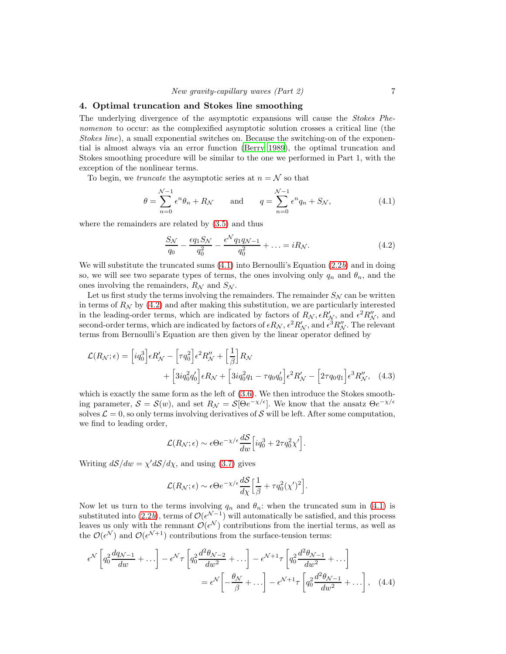## 4. Optimal truncation and Stokes line smoothing

The underlying divergence of the asymptotic expansions will cause the Stokes Phenomenon to occur: as the complexified asymptotic solution crosses a critical line (the Stokes line), a small exponential switches on. Because the switching-on of the exponential is almost always via an error function [\(Berry 1989\)](#page-28-0), the optimal truncation and Stokes smoothing procedure will be similar to the one we performed in Part 1, with the exception of the nonlinear terms.

To begin, we *truncate* the asymptotic series at  $n = \mathcal{N}$  so that

$$
\theta = \sum_{n=0}^{N-1} \epsilon^n \theta_n + R_N \quad \text{and} \quad q = \sum_{n=0}^{N-1} \epsilon^n q_n + S_N,
$$
\n(4.1)

where the remainders are related by [\(3.5\)](#page-4-1) and thus

$$
\frac{S_{\mathcal{N}}}{q_0} - \frac{\epsilon q_1 S_{\mathcal{N}}}{q_0^2} - \frac{\epsilon^{\mathcal{N}} q_1 q_{\mathcal{N}-1}}{q_0^2} + \dots = i R_{\mathcal{N}}.\tag{4.2}
$$

We will substitute the truncated sums  $(4.1)$  into Bernoulli's Equation  $(2.2b)$  and in doing so, we will see two separate types of terms, the ones involving only  $q_n$  and  $\theta_n$ , and the ones involving the remainders,  $R_N$  and  $S_N$ .

Let us first study the terms involving the remainders. The remainder  $S_N$  can be written in terms of  $R_N$  by [\(4.2\)](#page-7-1) and after making this substitution, we are particularly interested in the leading-order terms, which are indicated by factors of  $R_N$ ,  $\epsilon R'_N$ , and  $\epsilon^2 R''_N$ , and second-order terms, which are indicated by factors of  $\epsilon R_N$ ,  $\epsilon^2 R'_N$ , and  $\epsilon^3 R''_N$ . The relevant terms from Bernoulli's Equation are then given by the linear operator defined by

$$
\mathcal{L}(R_{\mathcal{N}};\epsilon) = \left[iq_0^3\right]\epsilon R_{\mathcal{N}}' - \left[\tau q_0^2\right]\epsilon^2 R_{\mathcal{N}}'' + \left[\frac{1}{\beta}\right]R_{\mathcal{N}} + \left[3iq_0^2q_0'\right]\epsilon R_{\mathcal{N}} + \left[3iq_0^2q_0'\right]\epsilon R_{\mathcal{N}} + \left[3iq_0^2q_1 - \tau q_0q_0'\right]\epsilon^2 R_{\mathcal{N}}' - \left[2\tau q_0q_1\right]\epsilon^3 R_{\mathcal{N}}'' ,\tag{4.3}
$$

which is exactly the same form as the left of [\(3.6\)](#page-4-2). We then introduce the Stokes smoothing parameter,  $S = S(w)$ , and set  $R_N = S[\Theta e^{-\chi/\epsilon}]$ . We know that the ansatz  $\Theta e^{-\chi/\epsilon}$ solves  $\mathcal{L} = 0$ , so only terms involving derivatives of S will be left. After some computation, we find to leading order,

$$
\mathcal{L}(R_{\mathcal{N}};\epsilon) \sim \epsilon \Theta e^{-\chi/\epsilon} \frac{d\mathcal{S}}{dw} \Big[ i q_0^3 + 2\tau q_0^2 \chi' \Big].
$$

Writing  $d\mathcal{S}/dw = \chi' d\mathcal{S}/d\chi$ , and using [\(3.7\)](#page-4-3) gives

$$
\mathcal{L}(R_{\mathcal{N}};\epsilon) \sim \epsilon \Theta e^{-\chi/\epsilon} \frac{dS}{d\chi} \Big[ \frac{1}{\beta} + \tau q_0^2 (\chi')^2 \Big].
$$

Now let us turn to the terms involving  $q_n$  and  $\theta_n$ : when the truncated sum in [\(4.1\)](#page-7-0) is substituted into  $(2.2b)$ , terms of  $\mathcal{O}(\epsilon^{\mathcal{N}-1})$  will automatically be satisfied, and this process leaves us only with the remnant  $\mathcal{O}(\epsilon^{\mathcal{N}})$  contributions from the inertial terms, as well as the  $\mathcal{O}(\epsilon^{\mathcal{N}})$  and  $\mathcal{O}(\epsilon^{\mathcal{N}+1})$  contributions from the surface-tension terms:

$$
\epsilon^{\mathcal{N}} \left[ q_0^2 \frac{dq_{\mathcal{N}-1}}{dw} + \ldots \right] - \epsilon^{\mathcal{N}} \tau \left[ q_0^2 \frac{d^2 \theta_{\mathcal{N}-2}}{dw^2} + \ldots \right] - \epsilon^{\mathcal{N}+1} \tau \left[ q_0^2 \frac{d^2 \theta_{\mathcal{N}-1}}{dw^2} + \ldots \right]
$$

$$
= \epsilon^{\mathcal{N}} \left[ -\frac{\theta_{\mathcal{N}}}{\beta} + \ldots \right] - \epsilon^{\mathcal{N}+1} \tau \left[ q_0^2 \frac{d^2 \theta_{\mathcal{N}-1}}{dw^2} + \ldots \right], \quad (4.4)
$$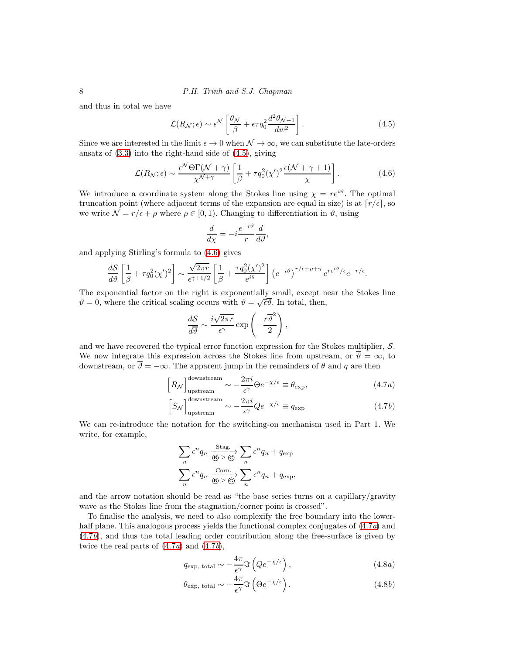and thus in total we have

<span id="page-7-2"></span>
$$
\mathcal{L}(R_N; \epsilon) \sim \epsilon^{\mathcal{N}} \left[ \frac{\theta_{\mathcal{N}}}{\beta} + \epsilon \tau q_0^2 \frac{d^2 \theta_{\mathcal{N}-1}}{dw^2} \right]. \tag{4.5}
$$

Since we are interested in the limit  $\epsilon \to 0$  when  $\mathcal{N} \to \infty$ , we can substitute the late-orders ansatz of [\(3.3\)](#page-4-0) into the right-hand side of [\(4.5\)](#page-7-2), giving

<span id="page-7-3"></span>
$$
\mathcal{L}(R_{\mathcal{N}};\epsilon) \sim \frac{\epsilon^{\mathcal{N}}\Theta\Gamma(\mathcal{N}+\gamma)}{\chi^{\mathcal{N}+\gamma}} \left[\frac{1}{\beta} + \tau q_0^2(\chi')^2 \frac{\epsilon(\mathcal{N}+\gamma+1)}{\chi}\right].
$$
 (4.6)

We introduce a coordinate system along the Stokes line using  $\chi = re^{i\vartheta}$ . The optimal truncation point (where adjacent terms of the expansion are equal in size) is at  $[r/\epsilon]$ , so we write  $\mathcal{N} = r/\epsilon + \rho$  where  $\rho \in [0, 1)$ . Changing to differentiation in  $\vartheta$ , using

$$
\frac{d}{d\chi} = -i\frac{e^{-i\vartheta}}{r}\frac{d}{d\vartheta},
$$

and applying Stirling's formula to [\(4.6\)](#page-7-3) gives

$$
\frac{dS}{d\vartheta}\left[\frac{1}{\beta}+\tau q_0^2(\chi')^2\right] \sim \frac{\sqrt{2\pi r}}{\epsilon^{\gamma+1/2}}\left[\frac{1}{\beta}+\frac{\tau q_0^2(\chi')^2}{e^{i\theta}}\right] \left(e^{-i\vartheta}\right)^{r/\epsilon+\rho+\gamma}e^{re^{i\vartheta}/\epsilon}e^{-r/\epsilon}.
$$

The exponential factor on the right is exponentially small, except near the Stokes line  $\vartheta = 0$ , where the critical scaling occurs with  $\vartheta = \sqrt{\epsilon \vartheta}$ . In total, then,

$$
\frac{dS}{d\overline{\vartheta}} \sim \frac{i\sqrt{2\pi r}}{\epsilon^{\gamma}} \exp\left(-\frac{r\overline{\vartheta}^2}{2}\right),\,
$$

and we have recovered the typical error function expression for the Stokes multiplier, S. We now integrate this expression across the Stokes line from upstream, or  $\overline{\vartheta} = \infty$ , to downstream, or  $\overline{\vartheta} = -\infty$ . The apparent jump in the remainders of  $\theta$  and q are then

$$
\[R_{\mathcal{N}}\]_{\text{upstream}}^{\text{downstream}} \sim -\frac{2\pi i}{\epsilon^{\gamma}} \Theta e^{-\chi/\epsilon} \equiv \theta_{\text{exp}},\tag{4.7a}
$$

$$
\[S_{\mathcal{N}}\]_{\text{upstream}}^{\text{downstream}} \sim -\frac{2\pi i}{\epsilon^{\gamma}} Q e^{-\chi/\epsilon} \equiv q_{\text{exp}} \tag{4.7b}
$$

We can re-introduce the notation for the switching-on mechanism used in Part 1. We write, for example,

$$
\sum_{n} \epsilon^{n} q_{n} \xrightarrow[\text{B}]{\text{Stag.}} \sum_{n} \epsilon^{n} q_{n} + q_{\text{exp}}
$$

$$
\sum_{n} \epsilon^{n} q_{n} \xrightarrow[\text{B}]{\text{Conn.}} \sum_{n} \epsilon^{n} q_{n} + q_{\text{exp}},
$$

and the arrow notation should be read as "the base series turns on a capillary/gravity wave as the Stokes line from the stagnation/corner point is crossed".

To finalise the analysis, we need to also complexify the free boundary into the lowerhalf plane. This analogous process yields the functional complex conjugates of  $(4.7a)$  and [\(4.7](#page-7-1)b), and thus the total leading order contribution along the free-surface is given by twice the real parts of  $(4.7a)$  and  $(4.7b)$ ,

<span id="page-7-4"></span><span id="page-7-0"></span>
$$
q_{\exp, \text{ total}} \sim -\frac{4\pi}{\epsilon^{\gamma}} \Im \left( Q e^{-\chi/\epsilon} \right), \tag{4.8a}
$$

<span id="page-7-1"></span>
$$
\theta_{\exp, \text{ total}} \sim -\frac{4\pi}{\epsilon^{\gamma}} \Im \left( \Theta e^{-\chi/\epsilon} \right). \tag{4.8b}
$$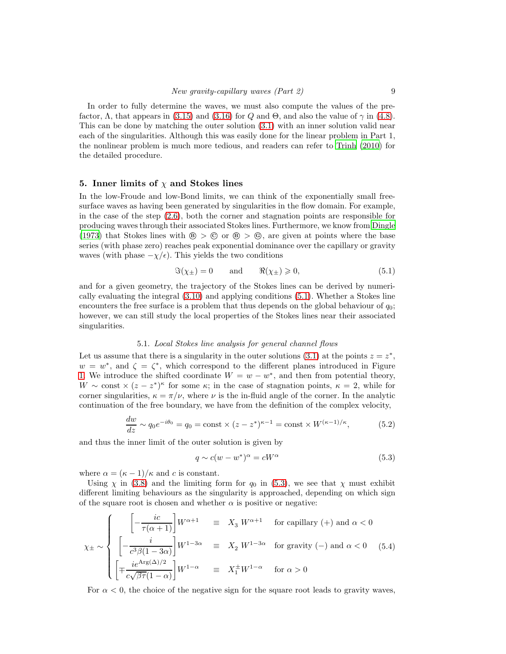In order to fully determine the waves, we must also compute the values of the prefactor,  $\Lambda$ , that appears in [\(3.15\)](#page-5-2) and [\(3.16\)](#page-5-3) for Q and  $\Theta$ , and also the value of  $\gamma$  in [\(4.8\)](#page-7-4). This can be done by matching the outer solution [\(3.1\)](#page-3-1) with an inner solution valid near each of the singularities. Although this was easily done for the linear problem in Part 1, the nonlinear problem is much more tedious, and readers can refer to [Trinh \(2010\)](#page-30-12) for the detailed procedure.

## <span id="page-8-4"></span>5. Inner limits of  $\chi$  and Stokes lines

In the low-Froude and low-Bond limits, we can think of the exponentially small freesurface waves as having been generated by singularities in the flow domain. For example, in the case of the step [\(2.6\)](#page-3-2), both the corner and stagnation points are responsible for producing waves through their associated Stokes lines. Furthermore, we know from [Dingle](#page-30-11) [\(1973\)](#page-30-11) that Stokes lines with  $\circledast > \circledast$  or  $\circledast > \circledast$ , are given at points where the base series (with phase zero) reaches peak exponential dominance over the capillary or gravity waves (with phase  $-\chi/\epsilon$ ). This yields the two conditions

<span id="page-8-0"></span>
$$
\mathfrak{S}(\chi_{\pm}) = 0 \quad \text{and} \quad \mathfrak{R}(\chi_{\pm}) \geqslant 0,
$$
\n
$$
(5.1)
$$

and for a given geometry, the trajectory of the Stokes lines can be derived by numerically evaluating the integral [\(3.10\)](#page-5-0) and applying conditions [\(5.1\)](#page-8-0). Whether a Stokes line encounters the free surface is a problem that thus depends on the global behaviour of  $q_0$ ; however, we can still study the local properties of the Stokes lines near their associated singularities.

#### 5.1. Local Stokes line analysis for general channel flows

Let us assume that there is a singularity in the outer solutions [\(3.1\)](#page-3-1) at the points  $z = z^*$ ,  $w = w^*$ , and  $\zeta = \zeta^*$ , which correspond to the different planes introduced in Figure [1.](#page-2-0) We introduce the shifted coordinate  $W = w - w^*$ , and then from potential theory, W ~ const  $\times$   $(z-z^*)^{\kappa}$  for some  $\kappa$ ; in the case of stagnation points,  $\kappa = 2$ , while for corner singularities,  $\kappa = \pi/\nu$ , where  $\nu$  is the in-fluid angle of the corner. In the analytic continuation of the free boundary, we have from the definition of the complex velocity,

<span id="page-8-3"></span>
$$
\frac{dw}{dz} \sim q_0 e^{-i\theta_0} = q_0 = \text{const} \times (z - z^*)^{\kappa - 1} = \text{const} \times W^{(\kappa - 1)/\kappa},\tag{5.2}
$$

and thus the inner limit of the outer solution is given by

<span id="page-8-1"></span>
$$
q \sim c(w - w^*)^{\alpha} = cW^{\alpha} \tag{5.3}
$$

where  $\alpha = (\kappa - 1)/\kappa$  and c is constant.

Using  $\chi$  in [\(3.8\)](#page-4-4) and the limiting form for  $q_0$  in [\(5.3\)](#page-8-1), we see that  $\chi$  must exhibit different limiting behaviours as the singularity is approached, depending on which sign of the square root is chosen and whether  $\alpha$  is positive or negative:

<span id="page-8-2"></span>
$$
\chi_{\pm} \sim \begin{cases}\n\left[-\frac{ic}{\tau(\alpha+1)}\right] W^{\alpha+1} & \equiv X_3 W^{\alpha+1} \quad \text{for capillary (+) and } \alpha < 0 \\
\left[-\frac{i}{c^3 \beta (1-3\alpha)}\right] W^{1-3\alpha} & \equiv X_2 W^{1-3\alpha} \quad \text{for gravity (-) and } \alpha < 0 \quad (5.4) \\
\left[\mp \frac{ie^{\text{Arg}(\Delta)/2}}{c\sqrt{\beta \tau}(1-\alpha)}\right] W^{1-\alpha} & \equiv X_1^{\pm} W^{1-\alpha} \quad \text{for } \alpha > 0\n\end{cases}
$$

For  $\alpha < 0$ , the choice of the negative sign for the square root leads to gravity waves,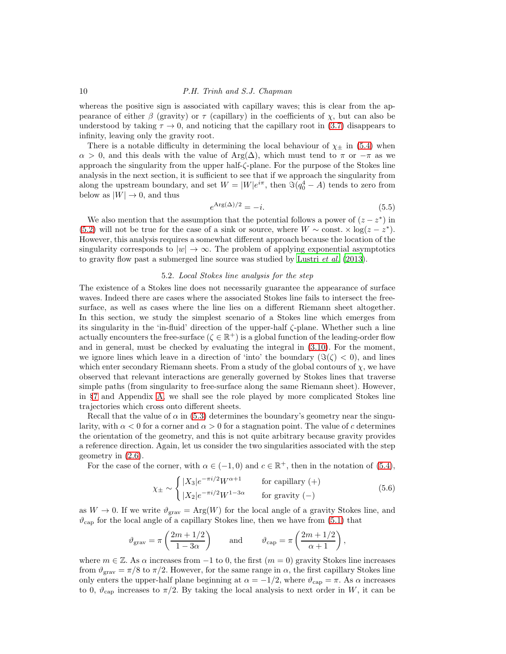whereas the positive sign is associated with capillary waves; this is clear from the appearance of either β (gravity) or  $\tau$  (capillary) in the coefficients of  $\chi$ , but can also be understood by taking  $\tau \to 0$ , and noticing that the capillary root in [\(3.7\)](#page-4-3) disappears to infinity, leaving only the gravity root.

There is a notable difficulty in determining the local behaviour of  $\chi_{\pm}$  in [\(5.4\)](#page-8-2) when  $\alpha > 0$ , and this deals with the value of Arg( $\Delta$ ), which must tend to  $\pi$  or  $-\pi$  as we approach the singularity from the upper half-ζ-plane. For the purpose of the Stokes line analysis in the next section, it is sufficient to see that if we approach the singularity from along the upstream boundary, and set  $W = |W|e^{i\pi}$ , then  $\Im(q_0^4 - A)$  tends to zero from below as  $|W| \to 0$ , and thus

<span id="page-9-0"></span>
$$
e^{\text{Arg}(\Delta)/2} = -i.\tag{5.5}
$$

We also mention that the assumption that the potential follows a power of  $(z - z^*)$  in [\(5.2\)](#page-8-3) will not be true for the case of a sink or source, where  $W \sim \text{const.} \times \log(z - z^*)$ . However, this analysis requires a somewhat different approach because the location of the singularity corresponds to  $|w| \to \infty$ . The problem of applying exponential asymptotics to gravity flow past a submerged line source was studied by [Lustri](#page-30-13) et al. [\(2013\)](#page-30-13).

#### 5.2. Local Stokes line analysis for the step

<span id="page-9-1"></span>The existence of a Stokes line does not necessarily guarantee the appearance of surface waves. Indeed there are cases where the associated Stokes line fails to intersect the freesurface, as well as cases where the line lies on a different Riemann sheet altogether. In this section, we study the simplest scenario of a Stokes line which emerges from its singularity in the 'in-fluid' direction of the upper-half ζ-plane. Whether such a line actually encounters the free-surface  $(\zeta \in \mathbb{R}^+)$  is a global function of the leading-order flow and in general, must be checked by evaluating the integral in [\(3.10\)](#page-5-0). For the moment, we ignore lines which leave in a direction of 'into' the boundary  $(\Im(\zeta) < 0)$ , and lines which enter secondary Riemann sheets. From a study of the global contours of  $\chi$ , we have observed that relevant interactions are generally governed by Stokes lines that traverse simple paths (from singularity to free-surface along the same Riemann sheet). However, in §[7](#page-14-0) and Appendix [A,](#page-24-0) we shall see the role played by more complicated Stokes line trajectories which cross onto different sheets.

Recall that the value of  $\alpha$  in [\(5.3\)](#page-8-1) determines the boundary's geometry near the singularity, with  $\alpha < 0$  for a corner and  $\alpha > 0$  for a stagnation point. The value of c determines the orientation of the geometry, and this is not quite arbitrary because gravity provides a reference direction. Again, let us consider the two singularities associated with the step geometry in [\(2.6\)](#page-3-2).

For the case of the corner, with  $\alpha \in (-1,0)$  and  $c \in \mathbb{R}^+$ , then in the notation of  $(5.4)$ ,

$$
\chi_{\pm} \sim \begin{cases}\n|X_3|e^{-\pi i/2}W^{\alpha+1} & \text{for capillary (+)} \\
|X_2|e^{-\pi i/2}W^{1-3\alpha} & \text{for gravity (-)}\n\end{cases}
$$
\n(5.6)

as  $W \to 0$ . If we write  $\vartheta_{\text{grav}} = \text{Arg}(W)$  for the local angle of a gravity Stokes line, and  $\vartheta_{\rm cap}$  for the local angle of a capillary Stokes line, then we have from [\(5.1\)](#page-8-0) that

$$
\vartheta_{\text{grav}} = \pi \left( \frac{2m + 1/2}{1 - 3\alpha} \right)
$$
 and  $\vartheta_{\text{cap}} = \pi \left( \frac{2m + 1/2}{\alpha + 1} \right)$ ,

where  $m \in \mathbb{Z}$ . As  $\alpha$  increases from  $-1$  to 0, the first  $(m = 0)$  gravity Stokes line increases from  $\vartheta_{\rm grav} = \pi/8$  to  $\pi/2$ . However, for the same range in  $\alpha$ , the first capillary Stokes line only enters the upper-half plane beginning at  $\alpha = -1/2$ , where  $\vartheta_{cap} = \pi$ . As  $\alpha$  increases to 0,  $\vartheta_{\text{cap}}$  increases to  $\pi/2$ . By taking the local analysis to next order in W, it can be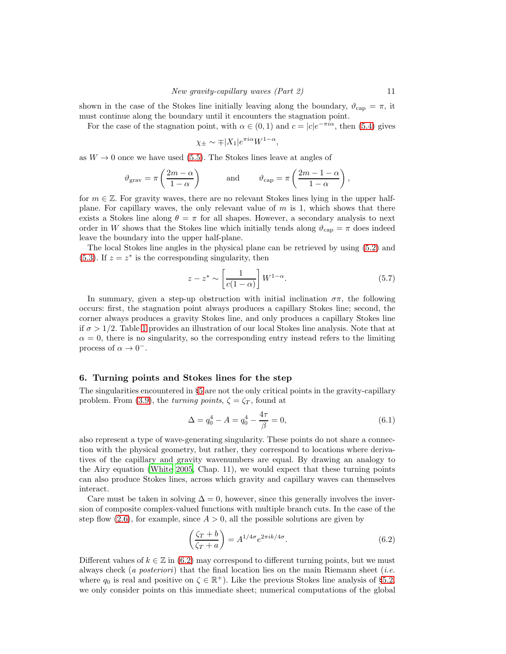shown in the case of the Stokes line initially leaving along the boundary,  $\vartheta_{\rm cap} = \pi$ , it must continue along the boundary until it encounters the stagnation point.

For the case of the stagnation point, with  $\alpha \in (0,1)$  and  $c = |c|e^{-\pi i \alpha}$ , then [\(5.4\)](#page-8-2) gives

$$
\chi_{\pm} \sim \mp |X_1| e^{\pi i \alpha} W^{1-\alpha},
$$

as  $W \to 0$  once we have used [\(5.5\)](#page-9-0). The Stokes lines leave at angles of

$$
\vartheta_{\rm grav} = \pi \left( \frac{2m - \alpha}{1 - \alpha} \right)
$$
 and  $\vartheta_{\rm cap} = \pi \left( \frac{2m - 1 - \alpha}{1 - \alpha} \right)$ ,

for  $m \in \mathbb{Z}$ . For gravity waves, there are no relevant Stokes lines lying in the upper halfplane. For capillary waves, the only relevant value of  $m$  is 1, which shows that there exists a Stokes line along  $\theta = \pi$  for all shapes. However, a secondary analysis to next order in W shows that the Stokes line which initially tends along  $\vartheta_{\text{cap}} = \pi$  does indeed leave the boundary into the upper half-plane.

The local Stokes line angles in the physical plane can be retrieved by using [\(5.2\)](#page-8-3) and [\(5.3\)](#page-8-1). If  $z = z^*$  is the corresponding singularity, then

<span id="page-10-1"></span>
$$
z - z^* \sim \left[\frac{1}{c(1-\alpha)}\right] W^{1-\alpha}.
$$
 (5.7)

In summary, given a step-up obstruction with initial inclination  $\sigma\pi$ , the following occurs: first, the stagnation point always produces a capillary Stokes line; second, the corner always produces a gravity Stokes line, and only produces a capillary Stokes line if  $\sigma > 1/2$  $\sigma > 1/2$  $\sigma > 1/2$ . Table 1 provides an illustration of our local Stokes line analysis. Note that at  $\alpha = 0$ , there is no singularity, so the corresponding entry instead refers to the limiting process of  $\alpha \to 0^-$ .

## <span id="page-10-2"></span>6. Turning points and Stokes lines for the step

The singularities encountered in §[5](#page-8-4) are not the only critical points in the gravity-capillary problem. From [\(3.9\)](#page-4-5), the turning points,  $\zeta = \zeta_T$ , found at

$$
\Delta = q_0^4 - A = q_0^4 - \frac{4\tau}{\beta} = 0,\tag{6.1}
$$

also represent a type of wave-generating singularity. These points do not share a connection with the physical geometry, but rather, they correspond to locations where derivatives of the capillary and gravity wavenumbers are equal. By drawing an analogy to the Airy equation [\(White 2005,](#page-30-14) Chap. 11), we would expect that these turning points can also produce Stokes lines, across which gravity and capillary waves can themselves interact.

Care must be taken in solving  $\Delta = 0$ , however, since this generally involves the inversion of composite complex-valued functions with multiple branch cuts. In the case of the step flow [\(2.6\)](#page-3-2), for example, since  $A > 0$ , all the possible solutions are given by

<span id="page-10-0"></span>
$$
\left(\frac{\zeta_T + b}{\zeta_T + a}\right) = A^{1/4\sigma} e^{2\pi i k/4\sigma}.
$$
\n(6.2)

Different values of  $k \in \mathbb{Z}$  in [\(6.2\)](#page-10-0) may correspond to different turning points, but we must always check (a posteriori) that the final location lies on the main Riemann sheet (*i.e.* where  $q_0$  is real and positive on  $\zeta \in \mathbb{R}^+$ ). Like the previous Stokes line analysis of §[5.2,](#page-9-1) we only consider points on this immediate sheet; numerical computations of the global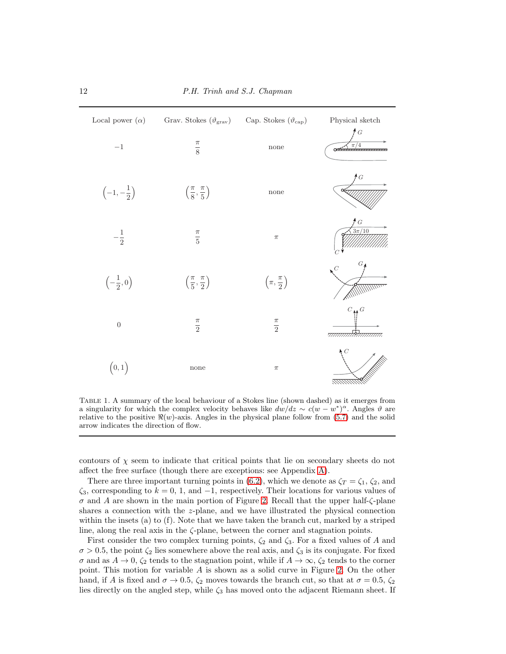| Local power $(\alpha)$          | Grav. Stokes $(\vartheta_{\rm grav})$      | Cap. Stokes $(\vartheta_{\text{cap}})$ | ${\it Physical}$ sketch               |
|---------------------------------|--------------------------------------------|----------------------------------------|---------------------------------------|
| $-1\,$                          | $\frac{\pi}{8}$                            | none                                   | $\overline{G}$<br>$\pi/4$<br>œ        |
| $\left(-1, -\frac{1}{2}\right)$ | $\left(\frac{\pi}{8},\frac{\pi}{5}\right)$ | none                                   | G<br>œ                                |
| $\frac{1}{2}$                   | $\frac{\pi}{5}$                            | $\pi$                                  | $^{\clubsuit}$ G<br>$\frac{3\pi}{10}$ |
| $\left(-\frac{1}{2},0\right)$   | $\left(\frac{\pi}{5},\frac{\pi}{2}\right)$ | $\left(\pi,\frac{\pi}{2}\right)$       | G<br>$\mathcal{C}$                    |
| $\boldsymbol{0}$                | $\frac{\pi}{2}$                            | $\frac{\pi}{2}$                        | $C_{\overline{M}}G$<br>777777777      |
| (0,1)                           | none                                       | $\pi$                                  |                                       |

<span id="page-11-0"></span>Table 1. A summary of the local behaviour of a Stokes line (shown dashed) as it emerges from a singularity for which the complex velocity behaves like  $d\dot{w}/dz \sim c(w - w^*)^{\alpha}$ . Angles  $\vartheta$  are relative to the positive  $\Re(w)$ -axis. Angles in the physical plane follow from [\(5.7\)](#page-10-1) and the solid arrow indicates the direction of flow.

contours of  $\chi$  seem to indicate that critical points that lie on secondary sheets do not affect the free surface (though there are exceptions: see Appendix [A\)](#page-24-0).

There are three important turning points in [\(6.2\)](#page-10-0), which we denote as  $\zeta_T = \zeta_1$ ,  $\zeta_2$ , and  $\zeta_3$ , corresponding to  $k = 0, 1,$  and  $-1$ , respectively. Their locations for various values of  $\sigma$  and A are shown in the main portion of Figure [2.](#page-12-0) Recall that the upper half- $\zeta$ -plane shares a connection with the  $z$ -plane, and we have illustrated the physical connection within the insets (a) to (f). Note that we have taken the branch cut, marked by a striped line, along the real axis in the  $\zeta$ -plane, between the corner and stagnation points.

First consider the two complex turning points,  $\zeta_2$  and  $\zeta_3$ . For a fixed values of A and  $\sigma > 0.5$ , the point  $\zeta_2$  lies somewhere above the real axis, and  $\zeta_3$  is its conjugate. For fixed  $\sigma$  and as  $A \to 0$ ,  $\zeta_2$  tends to the stagnation point, while if  $A \to \infty$ ,  $\zeta_2$  tends to the corner point. This motion for variable A is shown as a solid curve in Figure [2.](#page-12-0) On the other hand, if A is fixed and  $\sigma \to 0.5$ ,  $\zeta_2$  moves towards the branch cut, so that at  $\sigma = 0.5$ ,  $\zeta_2$ lies directly on the angled step, while  $\zeta_3$  has moved onto the adjacent Riemann sheet. If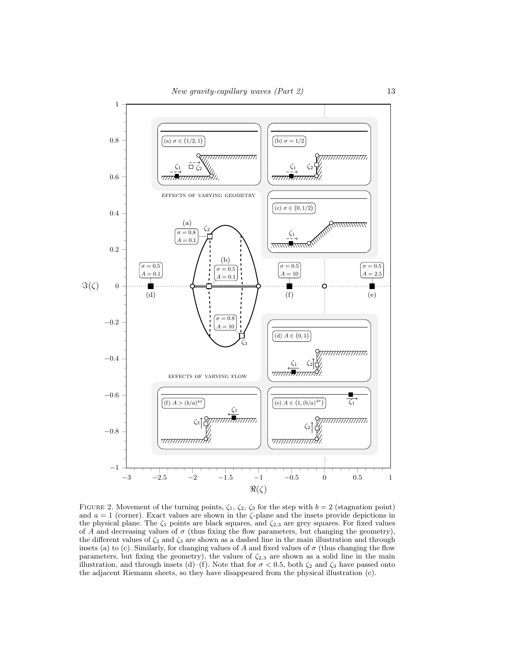

<span id="page-12-0"></span>FIGURE 2. Movement of the turning points,  $\zeta_1$ ,  $\zeta_2$ ,  $\zeta_3$  for the step with  $b = 2$  (stagnation point) and  $a = 1$  (corner). Exact values are shown in the  $\zeta$ -plane and the insets provide depictions in the physical plane. The  $\zeta_1$  points are black squares, and  $\zeta_{2,3}$  are grey squares. For fixed values of A and decreasing values of  $\sigma$  (thus fixing the flow parameters, but changing the geometry), the different values of  $\zeta_2$  and  $\zeta_3$  are shown as a dashed line in the main illustration and through insets (a) to (c). Similarly, for changing values of A and fixed values of  $\sigma$  (thus changing the flow parameters, but fixing the geometry), the values of  $\zeta_{2,3}$  are shown as a solid line in the main illustration, and through insets (d)–(f). Note that for  $\sigma < 0.5$ , both  $\zeta_2$  and  $\zeta_3$  have passed onto the adjacent Riemann sheets, so they have disappeared from the physical illustration (c).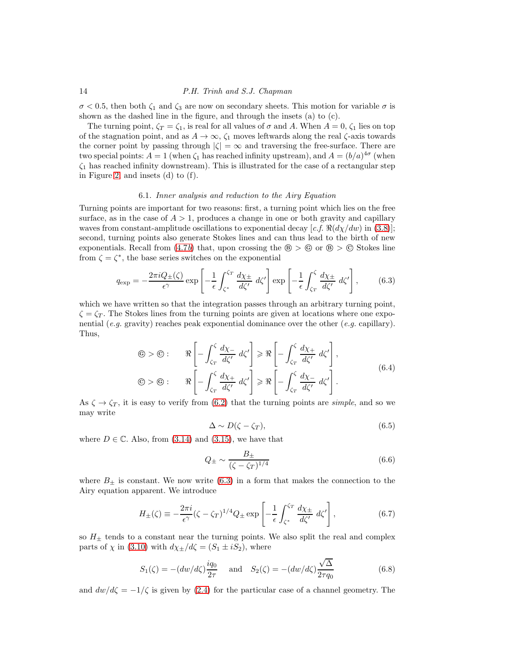$\sigma$  < 0.5, then both  $\zeta_1$  and  $\zeta_3$  are now on secondary sheets. This motion for variable  $\sigma$  is shown as the dashed line in the figure, and through the insets (a) to (c).

The turning point,  $\zeta_T = \zeta_1$ , is real for all values of  $\sigma$  and A. When  $A = 0$ ,  $\zeta_1$  lies on top of the stagnation point, and as  $A \to \infty$ ,  $\zeta_1$  moves leftwards along the real  $\zeta$ -axis towards the corner point by passing through  $|\zeta| = \infty$  and traversing the free-surface. There are two special points:  $A = 1$  (when  $\zeta_1$  has reached infinity upstream), and  $A = (b/a)^{4\sigma}$  (when  $\zeta_1$  has reached infinity downstream). This is illustrated for the case of a rectangular step in Figure [2,](#page-12-0) and insets (d) to (f).

#### 6.1. Inner analysis and reduction to the Airy Equation

Turning points are important for two reasons: first, a turning point which lies on the free surface, as in the case of  $A > 1$ , produces a change in one or both gravity and capillary waves from constant-amplitude oscillations to exponential decay  $[c.f. \Re(d\chi/dw)$  in [\(3.8\)](#page-4-4)]; second, turning points also generate Stokes lines and can thus lead to the birth of new exponentials. Recall from  $(4.7b)$  that, upon crossing the  $\mathcal{B} > \mathcal{C}$  or  $\mathcal{B} > \mathcal{C}$  Stokes line from  $\zeta = \zeta^*$ , the base series switches on the exponential

<span id="page-13-0"></span>
$$
q_{\exp} = -\frac{2\pi i Q_{\pm}(\zeta)}{\epsilon^{\gamma}} \exp\left[-\frac{1}{\epsilon} \int_{\zeta^*}^{\zeta_T} \frac{d\chi_{\pm}}{d\zeta'} d\zeta'\right] \exp\left[-\frac{1}{\epsilon} \int_{\zeta_T}^{\zeta} \frac{d\chi_{\pm}}{d\zeta'} d\zeta'\right],\tag{6.3}
$$

which we have written so that the integration passes through an arbitrary turning point,  $\zeta = \zeta_T$ . The Stokes lines from the turning points are given at locations where one exponential (e.g. gravity) reaches peak exponential dominance over the other (e.g. capillary). Thus,

<span id="page-13-4"></span>
$$
\begin{aligned}\n\textcircled{\tiny{a}} &= \textcircled{\tiny{b}}: \qquad \Re\left[-\int_{\zeta_T}^{\zeta} \frac{d\chi_{-}}{d\zeta'} \, d\zeta'\right] \geq \Re\left[-\int_{\zeta_T}^{\zeta} \frac{d\chi_{+}}{d\zeta'} \, d\zeta'\right], \\
\textcircled{\tiny{b}} &= \textcircled{\tiny{b}}: \qquad \Re\left[-\int_{\zeta_T}^{\zeta} \frac{d\chi_{+}}{d\zeta'} \, d\zeta'\right] \geq \Re\left[-\int_{\zeta_T}^{\zeta} \frac{d\chi_{-}}{d\zeta'} \, d\zeta'\right].\n\end{aligned} \tag{6.4}
$$

As  $\zeta \to \zeta_T$ , it is easy to verify from [\(6.2\)](#page-10-0) that the turning points are *simple*, and so we may write

<span id="page-13-1"></span>
$$
\Delta \sim D(\zeta - \zeta_T),\tag{6.5}
$$

where  $D \in \mathbb{C}$ . Also, from [\(3.14\)](#page-5-1) and [\(3.15\)](#page-5-2), we have that

<span id="page-13-3"></span>
$$
Q_{\pm} \sim \frac{B_{\pm}}{(\zeta - \zeta_T)^{1/4}}\tag{6.6}
$$

where  $B_{\pm}$  is constant. We now write [\(6.3\)](#page-13-0) in a form that makes the connection to the Airy equation apparent. We introduce

<span id="page-13-2"></span>
$$
H_{\pm}(\zeta) \equiv -\frac{2\pi i}{\epsilon^{\gamma}} (\zeta - \zeta_T)^{1/4} Q_{\pm} \exp\left[ -\frac{1}{\epsilon} \int_{\zeta^*}^{\zeta_T} \frac{d\chi_{\pm}}{d\zeta'} d\zeta' \right],\tag{6.7}
$$

so  $H_{\pm}$  tends to a constant near the turning points. We also split the real and complex parts of  $\chi$  in [\(3.10\)](#page-5-0) with  $d\chi_{\pm}/d\zeta = (S_1 \pm iS_2)$ , where

$$
S_1(\zeta) = -(dw/d\zeta)\frac{iq_0}{2\tau} \quad \text{and} \quad S_2(\zeta) = -(dw/d\zeta)\frac{\sqrt{\Delta}}{2\tau q_0}
$$
(6.8)

and  $dw/d\zeta = -1/\zeta$  is given by [\(2.4\)](#page-3-3) for the particular case of a channel geometry. The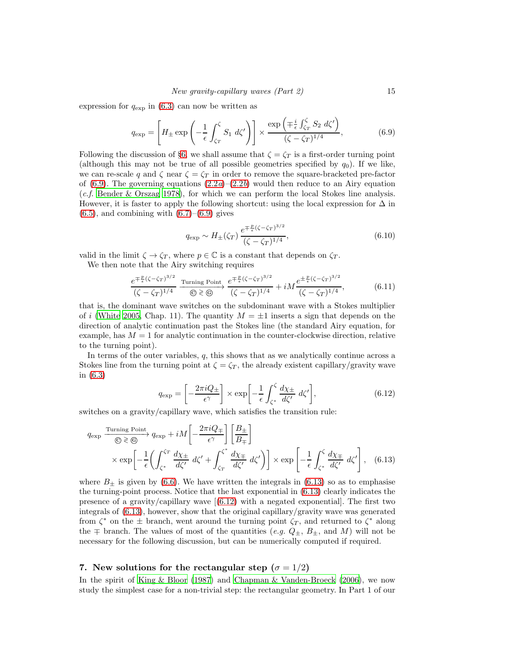expression for  $q_{\exp}$  in [\(6.3\)](#page-13-0) can now be written as

<span id="page-14-1"></span>
$$
q_{\exp} = \left[ H_{\pm} \exp\left( -\frac{1}{\epsilon} \int_{\zeta_T}^{\zeta} S_1 \, d\zeta' \right) \right] \times \frac{\exp\left( \mp \frac{i}{\epsilon} \int_{\zeta_T}^{\zeta} S_2 \, d\zeta' \right)}{(\zeta - \zeta_T)^{1/4}},\tag{6.9}
$$

Following the discussion of §[6,](#page-10-2) we shall assume that  $\zeta = \zeta_T$  is a first-order turning point (although this may not be true of all possible geometries specified by  $q_0$ ). If we like, we can re-scale q and  $\zeta$  near  $\zeta = \zeta_T$  in order to remove the square-bracketed pre-factor of [\(6.9\)](#page-14-1). The governing equations  $(2.2a)$  $(2.2a)$ – $(2.2b)$  would then reduce to an Airy equation (c.f. [Bender & Orszag 1978](#page-28-1)), for which we can perform the local Stokes line analysis. However, it is faster to apply the following shortcut: using the local expression for  $\Delta$  in  $(6.5)$ , and combining with  $(6.7)$ – $(6.9)$  gives

$$
q_{\exp} \sim H_{\pm}(\zeta_T) \frac{e^{\mp \frac{p}{\epsilon} (\zeta - \zeta_T)^{3/2}}}{(\zeta - \zeta_T)^{1/4}},\tag{6.10}
$$

valid in the limit  $\zeta \to \zeta_T$ , where  $p \in \mathbb{C}$  is a constant that depends on  $\zeta_T$ .

We then note that the Airy switching requires

$$
\frac{e^{\mp \frac{p}{\epsilon}(\zeta - \zeta_T)^{3/2}}}{(\zeta - \zeta_T)^{1/4}} \xrightarrow{\text{Turning Point}} \frac{e^{\mp \frac{p}{\epsilon}(\zeta - \zeta_T)^{3/2}}}{(\zeta - \zeta_T)^{1/4}} + iM \frac{e^{\pm \frac{p}{\epsilon}(\zeta - \zeta_T)^{3/2}}}{(\zeta - \zeta_T)^{1/4}},\tag{6.11}
$$

that is, the dominant wave switches on the subdominant wave with a Stokes multiplier of i [\(White 2005](#page-30-14), Chap. 11). The quantity  $M = \pm 1$  inserts a sign that depends on the direction of analytic continuation past the Stokes line (the standard Airy equation, for example, has  $M = 1$  for analytic continuation in the counter-clockwise direction, relative to the turning point).

In terms of the outer variables,  $q$ , this shows that as we analytically continue across a Stokes line from the turning point at  $\zeta = \zeta_T$ , the already existent capillary/gravity wave in [\(6.3\)](#page-13-0)

<span id="page-14-3"></span><span id="page-14-2"></span>
$$
q_{\exp} = \left[ -\frac{2\pi i Q_{\pm}}{\epsilon^{\gamma}} \right] \times \exp\left[ -\frac{1}{\epsilon} \int_{\zeta^*}^{\zeta} \frac{d\chi_{\pm}}{d\zeta'} d\zeta' \right],\tag{6.12}
$$

switches on a gravity/capillary wave, which satisfies the transition rule:

$$
q_{\exp} \xrightarrow{\text{Turning Point}} q_{\exp} + iM \left[ -\frac{2\pi i Q_{\mp}}{\epsilon \gamma} \right] \left[ \frac{B_{\pm}}{B_{\mp}} \right] \times \exp \left[ -\frac{1}{\epsilon} \left( \int_{\zeta^*}^{\zeta_T} \frac{d\chi_{\pm}}{d\zeta'} d\zeta' + \int_{\zeta_T}^{\zeta^*} \frac{d\chi_{\mp}}{d\zeta'} d\zeta' \right) \right] \times \exp \left[ -\frac{1}{\epsilon} \int_{\zeta^*}^{\zeta} \frac{d\chi_{\mp}}{d\zeta'} d\zeta' \right], \quad (6.13)
$$

where  $B_{\pm}$  is given by [\(6.6\)](#page-13-3). We have written the integrals in [\(6.13\)](#page-14-2) so as to emphasise the turning-point process. Notice that the last exponential in [\(6.13\)](#page-14-2) clearly indicates the presenceof a gravity/capillary wave  $(6.12)$  with a negated exponential. The first two integrals of [\(6.13\)](#page-14-2), however, show that the original capillary/gravity wave was generated from  $\zeta^*$  on the  $\pm$  branch, went around the turning point  $\zeta_T$ , and returned to  $\zeta^*$  along the  $\mp$  branch. The values of most of the quantities (e.g.  $Q_{\pm}$ ,  $B_{\pm}$ , and M) will not be necessary for the following discussion, but can be numerically computed if required.

# <span id="page-14-0"></span>7. New solutions for the rectangular step ( $\sigma = 1/2$ )

In the spirit of [King & Bloor \(1987\)](#page-30-2) and [Chapman & Vanden-Broeck \(2006](#page-29-5)), we now study the simplest case for a non-trivial step: the rectangular geometry. In Part 1 of our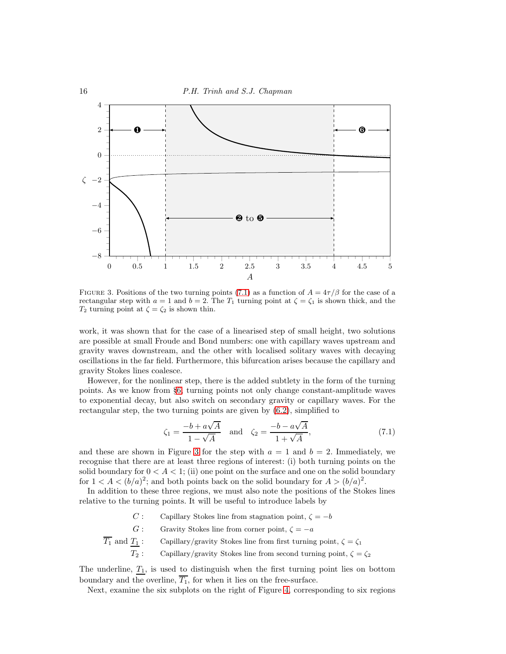

<span id="page-15-1"></span>FIGURE 3. Positions of the two turning points [\(7.1\)](#page-15-0) as a function of  $A = 4\tau/\beta$  for the case of a rectangular step with  $a = 1$  and  $b = 2$ . The  $T_1$  turning point at  $\zeta = \zeta_1$  is shown thick, and the  $T_2$  turning point at  $\zeta = \zeta_2$  is shown thin.

work, it was shown that for the case of a linearised step of small height, two solutions are possible at small Froude and Bond numbers: one with capillary waves upstream and gravity waves downstream, and the other with localised solitary waves with decaying oscillations in the far field. Furthermore, this bifurcation arises because the capillary and gravity Stokes lines coalesce.

However, for the nonlinear step, there is the added subtlety in the form of the turning points. As we know from §[6,](#page-10-2) turning points not only change constant-amplitude waves to exponential decay, but also switch on secondary gravity or capillary waves. For the rectangular step, the two turning points are given by [\(6.2\)](#page-10-0), simplified to

<span id="page-15-0"></span>
$$
\zeta_1 = \frac{-b + a\sqrt{A}}{1 - \sqrt{A}} \quad \text{and} \quad \zeta_2 = \frac{-b - a\sqrt{A}}{1 + \sqrt{A}},\tag{7.1}
$$

and these are shown in Figure [3](#page-15-1) for the step with  $a = 1$  and  $b = 2$ . Immediately, we recognise that there are at least three regions of interest: (i) both turning points on the solid boundary for  $0 < A < 1$ ; (ii) one point on the surface and one on the solid boundary for  $1 < A < (b/a)^2$ ; and both points back on the solid boundary for  $A > (b/a)^2$ .

In addition to these three regions, we must also note the positions of the Stokes lines relative to the turning points. It will be useful to introduce labels by

- C : Capillary Stokes line from stagnation point,  $\zeta = -b$
- G: Gravity Stokes line from corner point,  $\zeta = -a$
- $\overline{T_1}$  and  $\underline{T_1}$  : <br>  $\quad$  Capillary/gravity Stokes line from first turning point,<br>  $\zeta=\zeta_1$  $T_2$ : Capillary/gravity Stokes line from second turning point,  $\zeta = \zeta_2$

The underline,  $T_1$ , is used to distinguish when the first turning point lies on bottom boundary and the overline,  $\overline{T_1}$ , for when it lies on the free-surface.

Next, examine the six subplots on the right of Figure [4,](#page-17-0) corresponding to six regions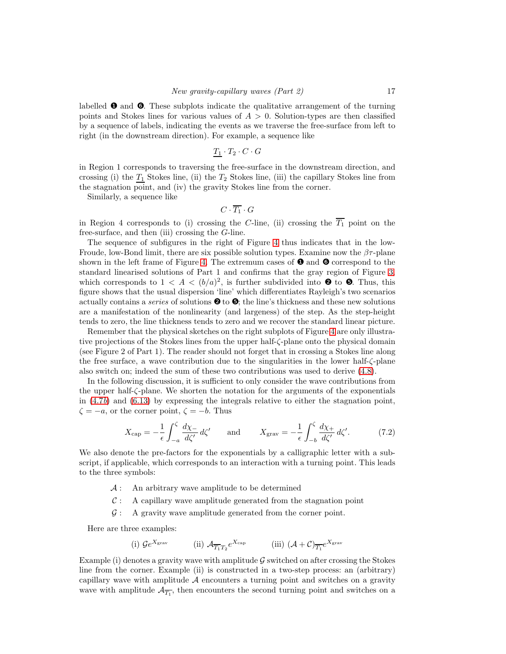labelled  $\bullet$  and  $\bullet$ . These subplots indicate the qualitative arrangement of the turning points and Stokes lines for various values of  $A > 0$ . Solution-types are then classified by a sequence of labels, indicating the events as we traverse the free-surface from left to right (in the downstream direction). For example, a sequence like

$$
\underline{T_1} \cdot T_2 \cdot C \cdot G
$$

in Region 1 corresponds to traversing the free-surface in the downstream direction, and crossing (i) the  $T_1$  Stokes line, (ii) the  $T_2$  Stokes line, (iii) the capillary Stokes line from the stagnation point, and (iv) the gravity Stokes line from the corner.

Similarly, a sequence like

$$
C\cdot \overline{T_1}\cdot G
$$

in Region 4 corresponds to (i) crossing the C-line, (ii) crossing the  $\overline{T_1}$  point on the free-surface, and then (iii) crossing the G-line.

The sequence of subfigures in the right of Figure [4](#page-17-0) thus indicates that in the low-Froude, low-Bond limit, there are six possible solution types. Examine now the  $\beta\tau$ -plane shown in the left frame of Figure [4.](#page-17-0) The extremum cases of  $\bullet$  and  $\bullet$  correspond to the standard linearised solutions of Part 1 and confirms that the gray region of Figure [3,](#page-15-1) which corresponds to  $1 < A < (b/a)^2$ , is further subdivided into  $\bullet$  to  $\bullet$ . Thus, this figure shows that the usual dispersion 'line' which differentiates Rayleigh's two scenarios actually contains a *series* of solutions  $\bullet$  to  $\bullet$ ; the line's thickness and these new solutions are a manifestation of the nonlinearity (and largeness) of the step. As the step-height tends to zero, the line thickness tends to zero and we recover the standard linear picture.

Remember that the physical sketches on the right subplots of Figure [4](#page-17-0) are only illustrative projections of the Stokes lines from the upper half-ζ-plane onto the physical domain (see Figure 2 of Part 1). The reader should not forget that in crossing a Stokes line along the free surface, a wave contribution due to the singularities in the lower half-ζ-plane also switch on; indeed the sum of these two contributions was used to derive [\(4.8\)](#page-7-4).

In the following discussion, it is sufficient to only consider the wave contributions from the upper half-ζ-plane. We shorten the notation for the arguments of the exponentials in  $(4.7b)$  and  $(6.13)$  by expressing the integrals relative to either the stagnation point,  $\zeta = -a$ , or the corner point,  $\zeta = -b$ . Thus

<span id="page-16-0"></span>
$$
X_{\rm cap} = -\frac{1}{\epsilon} \int_{-a}^{\zeta} \frac{d\chi_{-}}{d\zeta'} d\zeta' \quad \text{and} \quad X_{\rm grav} = -\frac{1}{\epsilon} \int_{-b}^{\zeta} \frac{d\chi_{+}}{d\zeta'} d\zeta'. \tag{7.2}
$$

We also denote the pre-factors for the exponentials by a calligraphic letter with a subscript, if applicable, which corresponds to an interaction with a turning point. This leads to the three symbols:

- $\mathcal{A}$ : An arbitrary wave amplitude to be determined
- $C: A$  capillary wave amplitude generated from the stagnation point
- $\mathcal{G}:$  A gravity wave amplitude generated from the corner point.

Here are three examples:

(i) 
$$
\mathcal{G}e^{X_{\text{grav}}}
$$
 (ii)  $\mathcal{A}_{\overline{T_1}T_2}e^{X_{\text{cap}}}$  (iii)  $(\mathcal{A}+\mathcal{C})_{\overline{T_1}}e^{X_{\text{grav}}}$ 

Example (i) denotes a gravity wave with amplitude  $\mathcal G$  switched on after crossing the Stokes line from the corner. Example (ii) is constructed in a two-step process: an (arbitrary) capillary wave with amplitude  $A$  encounters a turning point and switches on a gravity wave with amplitude  $\mathcal{A}_{\overline{T_1}}$ , then encounters the second turning point and switches on a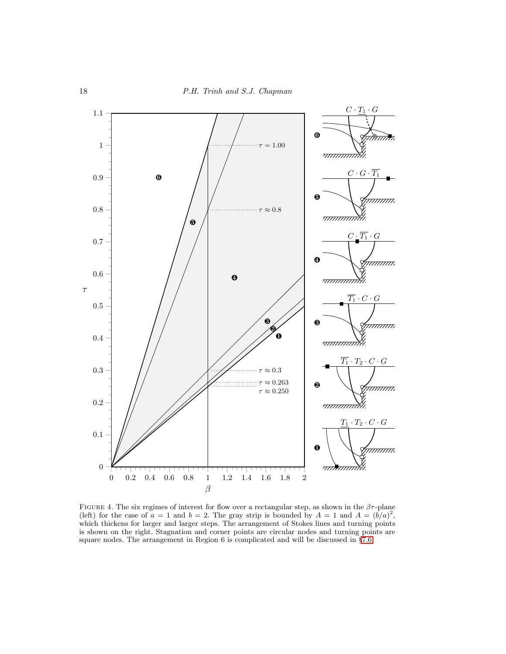

<span id="page-17-0"></span>FIGURE 4. The six regimes of interest for flow over a rectangular step, as shown in the  $\beta\tau$ -plane (left) for the case of  $a = 1$  and  $b = 2$ . The gray strip is bounded by  $A = 1$  and  $A = (b/a)^2$ , which thickens for larger and larger steps. The arrangement of Stokes lines and turning points is shown on the right. Stagnation and corner points are circular nodes and turning points are square nodes. The arrangement in Region 6 is complicated and will be discussed in §[7.6.](#page-21-0)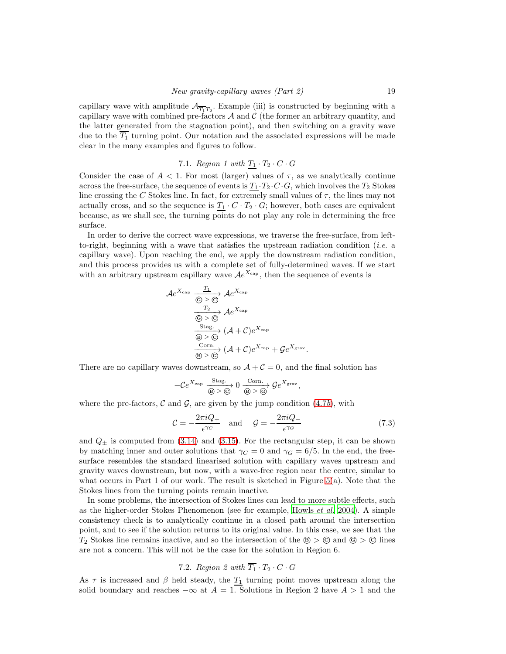capillary wave with amplitude  $\mathcal{A}_{\overline{T_1}T_2}$ . Example (iii) is constructed by beginning with a capillary wave with combined pre-factors  $A$  and  $C$  (the former an arbitrary quantity, and the latter generated from the stagnation point), and then switching on a gravity wave due to the  $\overline{T_1}$  turning point. Our notation and the associated expressions will be made clear in the many examples and figures to follow.

7.1. Region 1 with 
$$
\underline{T_1} \cdot T_2 \cdot C \cdot G
$$

Consider the case of  $A < 1$ . For most (larger) values of  $\tau$ , as we analytically continue across the free-surface, the sequence of events is  $T_1 \cdot T_2 \cdot C \cdot G$ , which involves the  $T_2$  Stokes line crossing the C Stokes line. In fact, for extremely small values of  $\tau$ , the lines may not actually cross, and so the sequence is  $T_1 \cdot C \cdot T_2 \cdot G$ ; however, both cases are equivalent because, as we shall see, the turning points do not play any role in determining the free surface.

In order to derive the correct wave expressions, we traverse the free-surface, from leftto-right, beginning with a wave that satisfies the upstream radiation condition (i.e. a capillary wave). Upon reaching the end, we apply the downstream radiation condition, and this process provides us with a complete set of fully-determined waves. If we start with an arbitrary upstream capillary wave  $Ae^{X_{cap}}$ , then the sequence of events is

$$
\mathcal{A}e^{X_{\text{cap}}}\xrightarrow{\frac{T_1}{\textcircled{0}>\textcircled{c}}}\mathcal{A}e^{X_{\text{cap}}}
$$
\n
$$
\xrightarrow{\frac{T_2}{\textcircled{c}}}\mathcal{A}e^{X_{\text{cap}}}
$$
\n
$$
\xrightarrow{\text{Stag.}} (\mathcal{A}+\mathcal{C})e^{X_{\text{cap}}}
$$
\n
$$
\xrightarrow{\text{Corn.}} (\mathcal{A}+\mathcal{C})e^{X_{\text{cap}}}+\mathcal{G}e^{X_{\text{grav}}}.
$$

There are no capillary waves downstream, so  $A + C = 0$ , and the final solution has

$$
-\mathcal{C}e^{X_{\text{cap}}}\xrightarrow[\text{B}]{} \xrightarrow[\text{B}]{} 0\xrightarrow[\text{B}]{} 0\xrightarrow[\text{B}]{}\mathcal{G}e^{X_{\text{grav}}},
$$

where the pre-factors,  $\mathcal C$  and  $\mathcal G$ , are given by the jump condition [\(4.7](#page-7-1)b), with

<span id="page-18-0"></span>
$$
C = -\frac{2\pi i Q_{+}}{\epsilon^{\gamma_C}} \quad \text{and} \quad \mathcal{G} = -\frac{2\pi i Q_{-}}{\epsilon^{\gamma_G}} \tag{7.3}
$$

and  $Q_{\pm}$  is computed from [\(3.14\)](#page-5-1) and [\(3.15\)](#page-5-2). For the rectangular step, it can be shown by matching inner and outer solutions that  $\gamma_C = 0$  and  $\gamma_G = 6/5$ . In the end, the freesurface resembles the standard linearised solution with capillary waves upstream and gravity waves downstream, but now, with a wave-free region near the centre, similar to what occurs in Part 1 of our work. The result is sketched in Figure  $5(a)$ . Note that the Stokes lines from the turning points remain inactive.

In some problems, the intersection of Stokes lines can lead to more subtle effects, such as the higher-order Stokes Phenomenon (see for example, [Howls](#page-30-4) et al. [2004\)](#page-30-4). A simple consistency check is to analytically continue in a closed path around the intersection point, and to see if the solution returns to its original value. In this case, we see that the  $T_2$  Stokes line remains inactive, and so the intersection of the  $\circledast > \circledcirc$  and  $\circledcirc > \circledcirc$  lines are not a concern. This will not be the case for the solution in Region 6.

# 7.2. Region 2 with  $\overline{T_1} \cdot T_2 \cdot C \cdot G$

As  $\tau$  is increased and  $\beta$  held steady, the  $\underline{T_1}$  turning point moves upstream along the solid boundary and reaches  $-\infty$  at  $A = 1$ . Solutions in Region 2 have  $A > 1$  and the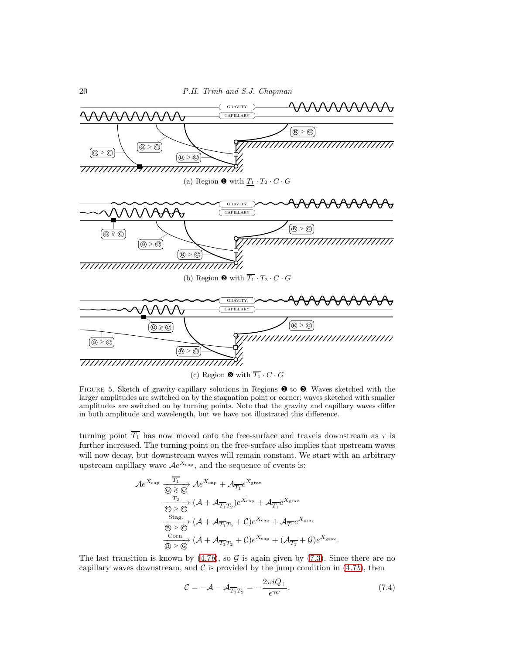

<span id="page-19-0"></span>FIGURE 5. Sketch of gravity-capillary solutions in Regions  $\bullet$  to  $\bullet$ . Waves sketched with the larger amplitudes are switched on by the stagnation point or corner; waves sketched with smaller amplitudes are switched on by turning points. Note that the gravity and capillary waves differ in both amplitude and wavelength, but we have not illustrated this difference.

turning point  $\overline{T_1}$  has now moved onto the free-surface and travels downstream as  $\tau$  is further increased. The turning point on the free-surface also implies that upstream waves will now decay, but downstream waves will remain constant. We start with an arbitrary upstream capillary wave  $Ae^{X_{\text{cap}}}$ , and the sequence of events is:

$$
\mathcal{A}e^{X_{\text{cap}}}\xrightarrow[\text{G}]\otimes\text{G}]{\overline{T_1}}\mathcal{A}e^{X_{\text{cap}}} + \mathcal{A}_{\overline{T_1}}e^{X_{\text{grav}}}
$$
\n
$$
\xrightarrow[\text{G}]\otimes\text{G}]{T_2} (\mathcal{A} + \mathcal{A}_{\overline{T_1}T_2})e^{X_{\text{cap}}} + \mathcal{A}_{\overline{T_1}}e^{X_{\text{grav}}}
$$
\n
$$
\xrightarrow[\text{G}]\otimes\text{G}]{\text{Stag.}} (\mathcal{A} + \mathcal{A}_{\overline{T_1}T_2} + \mathcal{C})e^{X_{\text{cap}}} + \mathcal{A}_{\overline{T_1}}e^{X_{\text{grav}}}
$$
\n
$$
\xrightarrow[\text{G}]\otimes\text{G}]{\text{Conn.}} (\mathcal{A} + \mathcal{A}_{\overline{T_1}T_2} + \mathcal{C})e^{X_{\text{cap}}} + (\mathcal{A}_{\overline{T_1}} + \mathcal{G})e^{X_{\text{grav}}}.
$$

The last transition is known by  $(4.7b)$ , so G is again given by  $(7.3)$ . Since there are no capillary waves downstream, and  $\mathcal C$  is provided by the jump condition in [\(4.7](#page-7-1)b), then

<span id="page-19-1"></span>
$$
C = -\mathcal{A} - \mathcal{A}_{\overline{T_1}T_2} = -\frac{2\pi i Q_+}{\epsilon^{\gamma_C}}.
$$
\n(7.4)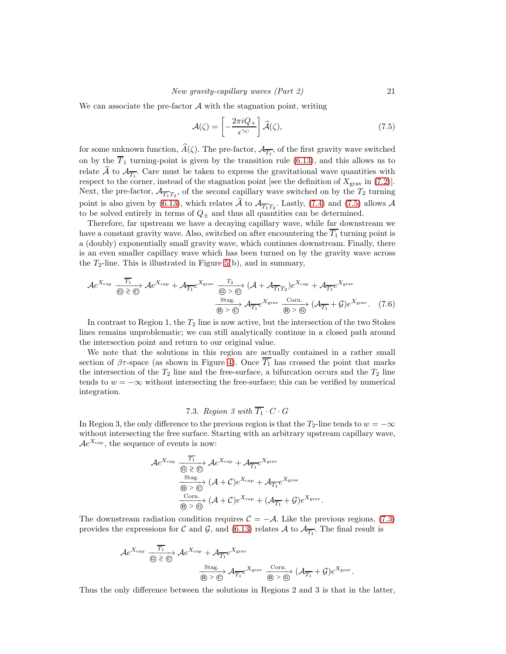We can associate the pre-factor  $\mathcal A$  with the stagnation point, writing

<span id="page-20-0"></span>
$$
\mathcal{A}(\zeta) = \left[ -\frac{2\pi i Q_+}{\epsilon^{\gamma_C}} \right] \widehat{\mathcal{A}}(\zeta),\tag{7.5}
$$

for some unknown function,  $A(\zeta)$ . The pre-factor,  $\mathcal{A}_{\overline{T_1}}$ , of the first gravity wave switched on by the  $\overline{T}_1$  turning-point is given by the transition rule [\(6.13\)](#page-14-2), and this allows us to relate A to  $\mathcal{A}_{\overline{T_1}}$ . Care must be taken to express the gravitational wave quantities with respect to the corner, instead of the stagnation point [see the definition of  $X_{\text{grav}}$  in [\(7.2\)](#page-16-0)]. Next, the pre-factor,  $\mathcal{A}_{\overline{T_1}T_2}$ , of the second capillary wave switched on by the  $T_2$  turning point is also given by [\(6.13\)](#page-14-2), which relates A to  $\mathcal{A}_{\overline{T_1}T_2}$ . Lastly, [\(7.4\)](#page-19-1) and [\(7.5\)](#page-20-0) allows A to be solved entirely in terms of  $Q_{\pm}$  and thus all quantities can be determined.

Therefore, far upstream we have a decaying capillary wave, while far downstream we have a constant gravity wave. Also, switched on after encountering the  $\overline{T_1}$  turning point is a (doubly) exponentially small gravity wave, which continues downstream. Finally, there is an even smaller capillary wave which has been turned on by the gravity wave across the  $T_2$ -line. This is illustrated in Figure [5\(](#page-19-0)b), and in summary,

$$
\mathcal{A}e^{X_{\text{cap}}}\xrightarrow[\text{G}]\text{G} \otimes \text{G}]{\overline{T_1}}\mathcal{A}e^{X_{\text{cap}}} + \mathcal{A}_{\overline{T_1}}e^{X_{\text{grav}}}\xrightarrow[\text{G}]\text{G} \otimes \text{G}]{\overline{T_2}} (\mathcal{A} + \mathcal{A}_{\overline{T_1}T_2})e^{X_{\text{cap}}} + \mathcal{A}_{\overline{T_1}}e^{X_{\text{grav}}}
$$
\n
$$
\xrightarrow[\text{G}]\text{G} \otimes \text{G}]{\text{Stag.}} \mathcal{A}_{\overline{T_1}}e^{X_{\text{grav}}}\xrightarrow[\text{G}]\text{G} \otimes \text{G}]{\text{Corn.}} (\mathcal{A}_{\overline{T_1}} + \mathcal{G})e^{X_{\text{grav}}}.\tag{7.6}
$$

In contrast to Region 1, the  $T_2$  line is now active, but the intersection of the two Stokes lines remains unproblematic; we can still analytically continue in a closed path around the intersection point and return to our original value.

We note that the solutions in this region are actually contained in a rather small section of  $\beta\tau$ -space (as shown in Figure [4\)](#page-17-0). Once  $\overline{T_1}$  has crossed the point that marks the intersection of the  $T_2$  line and the free-surface, a bifurcation occurs and the  $T_2$  line tends to  $w = -\infty$  without intersecting the free-surface; this can be verified by numerical integration.

# 7.3. Region 3 with  $\overline{T_1} \cdot C \cdot G$

In Region 3, the only difference to the previous region is that the  $T_2$ -line tends to  $w = -\infty$ without intersecting the free surface. Starting with an arbitrary upstream capillary wave,  $\mathcal{A}e^{X_{\text{cap}}},$  the sequence of events is now:

$$
\mathcal{A}e^{X_{\text{cap}}}\xrightarrow[\textcircled{S}]\bigotimes \textcircled{A}e^{X_{\text{cap}}} + \mathcal{A}_{\overline{T_1}}e^{X_{\text{grav}}}
$$
\n
$$
\xrightarrow[\textcircled{S}]\bigotimes \textcircled{S}(\mathcal{A}+\mathcal{C})e^{X_{\text{cap}}} + \mathcal{A}_{\overline{T_1}}e^{X_{\text{grav}}}
$$
\n
$$
\xrightarrow[\textcircled{S}]\bigotimes (\mathcal{A}+\mathcal{C})e^{X_{\text{cap}}} + (\mathcal{A}_{\overline{T_1}}+\mathcal{G})e^{X_{\text{grav}}}.
$$

The downstream radiation condition requires  $C = -A$ . Like the previous regions, [\(7.3\)](#page-18-0) provides the expressions for C and G, and [\(6.13\)](#page-14-2) relates A to  $\mathcal{A}_{\overline{T_1}}$ . The final result is

$$
\mathcal{A}e^{X_{\text{cap}}}\xrightarrow[\textcircled{6}]\textcircled{2} \textcircled{4} e^{X_{\text{cap}}} + \mathcal{A}_{\overline{T_1}}e^{X_{\text{grav}}}
$$
\n
$$
\xrightarrow[\textcircled{8}]\textcircled{5} \textcircled{4} \mathcal{A}_{\overline{T_1}}e^{X_{\text{grav}}}\xrightarrow[\textcircled{8}]\textcircled{6} \textcircled{4} \mathcal{A}_{\overline{T_1}} + \mathcal{G}e^{X_{\text{grav}}}.
$$

Thus the only difference between the solutions in Regions 2 and 3 is that in the latter,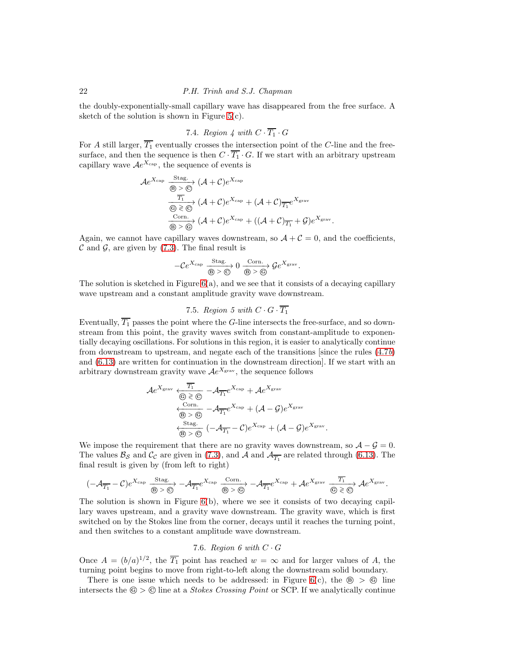the doubly-exponentially-small capillary wave has disappeared from the free surface. A sketch of the solution is shown in Figure  $5(c)$ .

# 7.4. Region 4 with  $C \cdot \overline{T_1} \cdot G$

For A still larger,  $\overline{T_1}$  eventually crosses the intersection point of the C-line and the freesurface, and then the sequence is then  $C \cdot \overline{T_1} \cdot G$ . If we start with an arbitrary upstream capillary wave  $Ae^{X_{\text{cap}}}$ , the sequence of events is

$$
\mathcal{A}e^{X_{\text{cap}}}\xrightarrow[\overline{\mathfrak{B}}]{} (\mathcal{A}+\mathcal{C})e^{X_{\text{cap}}}
$$
\n
$$
\xrightarrow[\overline{\mathfrak{C}}]{} (\mathcal{A}+\mathcal{C})e^{X_{\text{cap}}}+(\mathcal{A}+\mathcal{C})\overline{\mathfrak{T}_1}e^{X_{\text{grav}}}
$$
\n
$$
\xrightarrow[\overline{\mathfrak{G}}]{} (\mathcal{A}+\mathcal{C})e^{X_{\text{cap}}}+(\mathcal{A}+\mathcal{C})\overline{\mathfrak{T}_1}+\mathcal{G})e^{X_{\text{grav}}}
$$
\n
$$
\xrightarrow[\overline{\mathfrak{B}}]{} (\mathcal{A}+\mathcal{C})e^{X_{\text{cap}}}+(\mathcal{A}+\mathcal{C})\overline{\mathfrak{T}_1}+\mathcal{G})e^{X_{\text{grav}}}
$$

.

.

Again, we cannot have capillary waves downstream, so  $A + C = 0$ , and the coefficients,  $\mathcal C$  and  $\mathcal G$ , are given by [\(7.3\)](#page-18-0). The final result is

$$
-\mathcal{C}e^{X_{\text{cap}}}\xrightarrow[\textcircled{\scriptsize{B}}>\textcircled{\scriptsize{C}}]{\text{Stag.}}0\xrightarrow[\textcircled{\scriptsize{B}}>\textcircled{\scriptsize{B}}]{\text{Conn.}}\mathcal{G}e^{X_{\text{grav}}}.
$$

The solution is sketched in Figure  $6(a)$ , and we see that it consists of a decaying capillary wave upstream and a constant amplitude gravity wave downstream.

# 7.5. Region 5 with  $C \cdot G \cdot \overline{T_1}$

Eventually,  $\overline{T_1}$  passes the point where the G-line intersects the free-surface, and so downstream from this point, the gravity waves switch from constant-amplitude to exponentially decaying oscillations. For solutions in this region, it is easier to analytically continue from downstream to upstream, and negate each of the transitions since the rules  $(4.7b)$ and [\(6.13\)](#page-14-2) are written for continuation in the downstream direction]. If we start with an arbitrary downstream gravity wave  $Ae^{X_{\text{grav}}}$ , the sequence follows

$$
\mathcal{A}e^{X_{\text{grav}}}\xleftarrow{\overline{T_1}} \neg \mathcal{A}_{\overline{T_1}}e^{X_{\text{cap}}} + \mathcal{A}e^{X_{\text{grav}}}
$$
\n
$$
\xleftarrow{\text{Corn.}} \neg \mathcal{A}_{\overline{T_1}}e^{X_{\text{cap}}} + (\mathcal{A} - \mathcal{G})e^{X_{\text{grav}}}
$$
\n
$$
\xleftarrow{\text{Stag.}} \neg \mathcal{A}_{\overline{T_1}} - \mathcal{C}e^{X_{\text{cap}}} + (\mathcal{A} - \mathcal{G})e^{X_{\text{grav}}}
$$
\n
$$
\xleftarrow{\text{Stag.}} (\neg \mathcal{A}_{\overline{T_1}} - \mathcal{C})e^{X_{\text{cap}}} + (\mathcal{A} - \mathcal{G})e^{X_{\text{grav}}}
$$

We impose the requirement that there are no gravity waves downstream, so  $\mathcal{A} - \mathcal{G} = 0$ . The values  $\mathcal{B}_{\mathcal{S}}$  and  $\mathcal{C}_{\mathcal{C}}$  are given in [\(7.3\)](#page-18-0), and A and  $\mathcal{A}_{\overline{T_1}}$  are related through [\(6.13\)](#page-14-2). The final result is given by (from left to right)

$$
(-\mathcal{A}_{\overline{T_1}}-\mathcal{C})e^{X_{\text{cap}}}\xrightarrow[\textcircled{6}]{\text{Stag.}} -\mathcal{A}_{\overline{T_1}}e^{X_{\text{cap}}}\xrightarrow[\textcircled{6}]{\text{Corn.}} -\mathcal{A}_{\overline{T_1}}e^{X_{\text{cap}}}+\mathcal{A}e^{X_{\text{grav}}}\xrightarrow[\textcircled{6}]{\overline{T_1}}\mathcal{A}e^{X_{\text{grav}}}.
$$

The solution is shown in Figure [6\(](#page-22-0)b), where we see it consists of two decaying capillary waves upstream, and a gravity wave downstream. The gravity wave, which is first switched on by the Stokes line from the corner, decays until it reaches the turning point, and then switches to a constant amplitude wave downstream.

# 7.6. Region 6 with  $C \cdot G$

<span id="page-21-0"></span>Once  $A = (b/a)^{1/2}$ , the  $\overline{T_1}$  point has reached  $w = \infty$  and for larger values of A, the turning point begins to move from right-to-left along the downstream solid boundary.

There is one issue which needs to be addressed: in Figure  $6(c)$ , the  $\circledast > \circledast$  line intersects the  $\mathcal{F} > \mathcal{F}$  line at a *Stokes Crossing Point* or SCP. If we analytically continue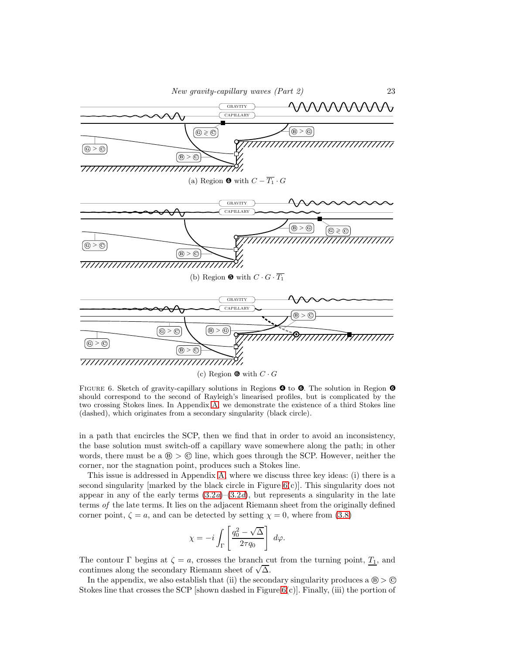

<span id="page-22-0"></span>FIGURE 6. Sketch of gravity-capillary solutions in Regions  $\bullet$  to  $\bullet$ . The solution in Region  $\bullet$ should correspond to the second of Rayleigh's linearised profiles, but is complicated by the two crossing Stokes lines. In Appendix [A,](#page-24-0) we demonstrate the existence of a third Stokes line (dashed), which originates from a secondary singularity (black circle).

in a path that encircles the SCP, then we find that in order to avoid an inconsistency, the base solution must switch-off a capillary wave somewhere along the path; in other words, there must be a  $\mathcal{B} > \mathcal{O}$  line, which goes through the SCP. However, neither the corner, nor the stagnation point, produces such a Stokes line.

This issue is addressed in Appendix [A,](#page-24-0) where we discuss three key ideas: (i) there is a second singularity [marked by the black circle in Figure  $6(c)$ ]. This singularity does not appear in any of the early terms  $(3.2a)-(3.2d)$  $(3.2a)-(3.2d)$ , but represents a singularity in the late terms of the late terms. It lies on the adjacent Riemann sheet from the originally defined corner point,  $\zeta = a$ , and can be detected by setting  $\chi = 0$ , where from [\(3.8\)](#page-4-4)

$$
\chi = -i \int_{\Gamma} \left[ \frac{q_0^2 - \sqrt{\Delta}}{2\tau q_0} \right] d\varphi.
$$

The contour  $\Gamma$  begins at  $\zeta = a$ , crosses the branch cut from the turning point,  $T_1$ , and continues along the secondary Riemann sheet of  $\sqrt{\Delta}$ .

In the appendix, we also establish that (ii) the secondary singularity produces a  $\circledast > \circledcirc$ Stokes line that crosses the SCP [shown dashed in Figure  $6(c)$ ]. Finally, (iii) the portion of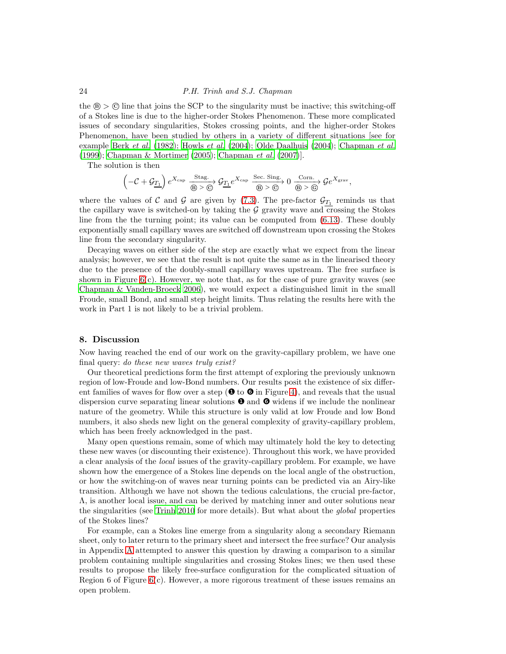the  $\circledast > \circledast$  line that joins the SCP to the singularity must be inactive; this switching-off of a Stokes line is due to the higher-order Stokes Phenomenon. These more complicated issues of secondary singularities, Stokes crossing points, and the higher-order Stokes Phenomenon, have been studied by others in a variety of different situations [see for example Berk [et al.](#page-28-2) [\(1982\)](#page-28-2); [Howls](#page-30-4) et al. [\(2004\)](#page-30-4); [Olde Daalhuis \(2004](#page-30-5)); [Chapman](#page-29-8) et al. [\(1999\)](#page-29-8); [Chapman & Mortimer \(2005\)](#page-29-0); [Chapman](#page-29-1) et al. [\(2007](#page-29-1))].

The solution is then

$$
\left(-\mathcal{C}+\mathcal{G}_{\underline{T_1}}\right)e^{X_{\text{cap}}}\xrightarrow[\textcircled{b}]\otimes\textcircled{c} \mathcal{G}_{\underline{T_1}}e^{X_{\text{cap}}}\xrightarrow[\textcircled{b}>\textcircled{c}]\textcircled{b}>\textcircled{c} \xrightarrow[\textcircled{b}>\textcircled{c}]\mathcal{G}e^{X_{\text{grav}}},
$$

where the values of C and G are given by [\(7.3\)](#page-18-0). The pre-factor  $\mathcal{G}_{\underline{T_1}}$  reminds us that the capillary wave is switched-on by taking the  $\mathcal G$  gravity wave and crossing the Stokes line from the the turning point; its value can be computed from [\(6.13\)](#page-14-2). These doubly exponentially small capillary waves are switched off downstream upon crossing the Stokes line from the secondary singularity.

Decaying waves on either side of the step are exactly what we expect from the linear analysis; however, we see that the result is not quite the same as in the linearised theory due to the presence of the doubly-small capillary waves upstream. The free surface is shown in Figure  $6(c)$ . However, we note that, as for the case of pure gravity waves (see [Chapman & Vanden-Broeck 2006\)](#page-29-5), we would expect a distinguished limit in the small Froude, small Bond, and small step height limits. Thus relating the results here with the work in Part 1 is not likely to be a trivial problem.

# 8. Discussion

Now having reached the end of our work on the gravity-capillary problem, we have one final query: do these new waves truly exist?

Our theoretical predictions form the first attempt of exploring the previously unknown region of low-Froude and low-Bond numbers. Our results posit the existence of six different families of waves for flow over a step ( $\bullet$  to  $\bullet$  in Figure [4\)](#page-17-0), and reveals that the usual dispersion curve separating linear solutions  $\bullet$  and  $\bullet$  widens if we include the nonlinear nature of the geometry. While this structure is only valid at low Froude and low Bond numbers, it also sheds new light on the general complexity of gravity-capillary problem, which has been freely acknowledged in the past.

Many open questions remain, some of which may ultimately hold the key to detecting these new waves (or discounting their existence). Throughout this work, we have provided a clear analysis of the local issues of the gravity-capillary problem. For example, we have shown how the emergence of a Stokes line depends on the local angle of the obstruction, or how the switching-on of waves near turning points can be predicted via an Airy-like transition. Although we have not shown the tedious calculations, the crucial pre-factor, Λ, is another local issue, and can be derived by matching inner and outer solutions near the singularities (see [Trinh 2010](#page-30-12) for more details). But what about the global properties of the Stokes lines?

For example, can a Stokes line emerge from a singularity along a secondary Riemann sheet, only to later return to the primary sheet and intersect the free surface? Our analysis in Appendix [A](#page-24-0) attempted to answer this question by drawing a comparison to a similar problem containing multiple singularities and crossing Stokes lines; we then used these results to propose the likely free-surface configuration for the complicated situation of Region 6 of Figure  $6(c)$ . However, a more rigorous treatment of these issues remains an open problem.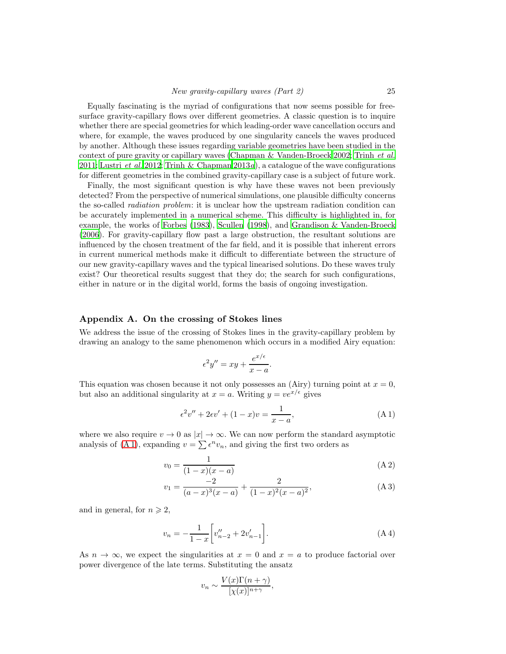Equally fascinating is the myriad of configurations that now seems possible for freesurface gravity-capillary flows over different geometries. A classic question is to inquire whether there are special geometries for which leading-order wave cancellation occurs and where, for example, the waves produced by one singularity cancels the waves produced by another. Although these issues regarding variable geometries have been studied in the context of pure gravity or capillary waves [\(Chapman & Vanden-Broeck 2002;](#page-29-4) [Trinh](#page-30-9) et al. [2011;](#page-30-9) [Lustri](#page-30-10) *et al.* [2012;](#page-30-10) [Trinh & Chapman 2013](#page-30-15)*a*), a catalogue of the wave configurations for different geometries in the combined gravity-capillary case is a subject of future work.

Finally, the most significant question is why have these waves not been previously detected? From the perspective of numerical simulations, one plausible difficulty concerns the so-called *radiation problem*: it is unclear how the upstream radiation condition can be accurately implemented in a numerical scheme. This difficulty is highlighted in, for example, the works of [Forbes \(1983\)](#page-30-1), [Scullen \(1998\)](#page-30-16), and [Grandison & Vanden-Broeck](#page-30-17) [\(2006\)](#page-30-17). For gravity-capillary flow past a large obstruction, the resultant solutions are influenced by the chosen treatment of the far field, and it is possible that inherent errors in current numerical methods make it difficult to differentiate between the structure of our new gravity-capillary waves and the typical linearised solutions. Do these waves truly exist? Our theoretical results suggest that they do; the search for such configurations, either in nature or in the digital world, forms the basis of ongoing investigation.

## <span id="page-24-0"></span>Appendix A. On the crossing of Stokes lines

We address the issue of the crossing of Stokes lines in the gravity-capillary problem by drawing an analogy to the same phenomenon which occurs in a modified Airy equation:

<span id="page-24-3"></span>
$$
\epsilon^2 y'' = xy + \frac{e^{x/\epsilon}}{x - a}.
$$

This equation was chosen because it not only possesses an (Airy) turning point at  $x = 0$ , but also an additional singularity at  $x = a$ . Writing  $y = v e^{x/\epsilon}$  gives

<span id="page-24-1"></span>
$$
\epsilon^2 v'' + 2\epsilon v' + (1 - x)v = \frac{1}{x - a},\tag{A.1}
$$

where we also require  $v \to 0$  as  $|x| \to \infty$ . We can now perform the standard asymptotic analysis of [\(A 1\)](#page-24-1), expanding  $v = \sum \epsilon^n v_n$ , and giving the first two orders as

$$
v_0 = \frac{1}{(1-x)(x-a)}
$$
 (A 2)

$$
v_1 = \frac{-2}{(a-x)^3(x-a)} + \frac{2}{(1-x)^2(x-a)^2},
$$
 (A 3)

and in general, for  $n \geqslant 2$ ,

$$
v_n = -\frac{1}{1-x} \left[ v_{n-2}'' + 2v_{n-1}' \right]. \tag{A.4}
$$

As  $n \to \infty$ , we expect the singularities at  $x = 0$  and  $x = a$  to produce factorial over power divergence of the late terms. Substituting the ansatz

<span id="page-24-4"></span><span id="page-24-2"></span>
$$
v_n \sim \frac{V(x)\Gamma(n+\gamma)}{[\chi(x)]^{n+\gamma}},
$$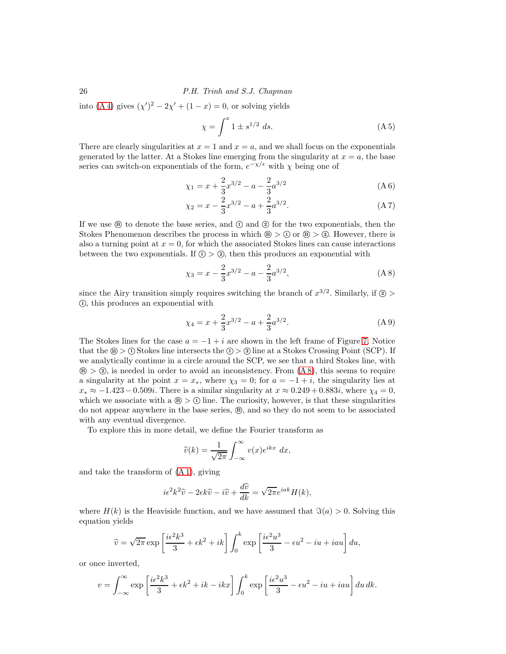into [\(A 4\)](#page-24-2) gives  $(\chi')^2 - 2\chi' + (1 - x) = 0$ , or solving yields

<span id="page-25-4"></span><span id="page-25-1"></span>
$$
\chi = \int^x 1 \pm s^{1/2} \ ds.
$$
 (A 5)

There are clearly singularities at  $x = 1$  and  $x = a$ , and we shall focus on the exponentials generated by the latter. At a Stokes line emerging from the singularity at  $x = a$ , the base series can switch-on exponentials of the form,  $e^{-\chi/\epsilon}$  with  $\chi$  being one of

$$
\chi_1 = x + \frac{2}{3}x^{3/2} - a - \frac{2}{3}a^{3/2} \tag{A 6}
$$

<span id="page-25-2"></span>
$$
\chi_2 = x - \frac{2}{3}x^{3/2} - a + \frac{2}{3}a^{3/2}.\tag{A 7}
$$

If we use  $\circledR$  to denote the base series, and  $\circled{1}$  and  $\circled{2}$  for the two exponentials, then the Stokes Phenomenon describes the process in which  $\mathcal{B} > 0$  or  $\mathcal{B} > 0$ . However, there is also a turning point at  $x = 0$ , for which the associated Stokes lines can cause interactions between the two exponentials. If  $\circled{1} > \circled{2}$ , then this produces an exponential with

<span id="page-25-0"></span>
$$
\chi_3 = x - \frac{2}{3}x^{3/2} - a - \frac{2}{3}a^{3/2},\tag{A 8}
$$

since the Airy transition simply requires switching the branch of  $x^{3/2}$ . Similarly, if  $\circled{2}$  $(1)$ , this produces an exponential with

<span id="page-25-3"></span>
$$
\chi_4 = x + \frac{2}{3}x^{3/2} - a + \frac{2}{3}a^{3/2}.\tag{A9}
$$

The Stokes lines for the case  $a = -1 + i$  are shown in the left frame of Figure [7.](#page-26-0) Notice that the  $\circledast$  >  $\circledast$  Stokes line intersects the  $\circledast$  >  $\circledast$  line at a Stokes Crossing Point (SCP). If we analytically continue in a circle around the SCP, we see that a third Stokes line, with  $\mathcal{B} > \mathcal{D}$ , is needed in order to avoid an inconsistency. From  $(A8)$ , this seems to require a singularity at the point  $x = x_*$ , where  $\chi_3 = 0$ ; for  $a = -1 + i$ , the singularity lies at  $x_* \approx -1.423 - 0.509i$ . There is a similar singularity at  $x \approx 0.249 + 0.883i$ , where  $\chi_4 = 0$ , which we associate with a  $\circledB > \circledB$  line. The curiosity, however, is that these singularities do not appear anywhere in the base series,  $\circledast$ , and so they do not seem to be associated with any eventual divergence.

To explore this in more detail, we define the Fourier transform as

$$
\widehat{v}(k) = \frac{1}{\sqrt{2\pi}} \int_{-\infty}^{\infty} v(x) e^{ikx} dx,
$$

and take the transform of [\(A 1\)](#page-24-1), giving

$$
i\epsilon^2 k^2 \hat{v} - 2\epsilon k \hat{v} - i\hat{v} + \frac{d\hat{v}}{dk} = \sqrt{2\pi}e^{iak}H(k),
$$

where  $H(k)$  is the Heaviside function, and we have assumed that  $\Im(a) > 0$ . Solving this equation yields

$$
\widehat{v} = \sqrt{2\pi} \exp\left[\frac{i\epsilon^2 k^3}{3} + \epsilon k^2 + ik\right] \int_0^k \exp\left[\frac{i\epsilon^2 u^3}{3} - \epsilon u^2 - iu + iau\right] du,
$$

or once inverted,

$$
v = \int_{-\infty}^{\infty} \exp\left[\frac{i\epsilon^2 k^3}{3} + \epsilon k^2 + ik - ikx\right] \int_0^k \exp\left[\frac{i\epsilon^2 u^3}{3} - \epsilon u^2 - iu + iau\right] du \, dk.
$$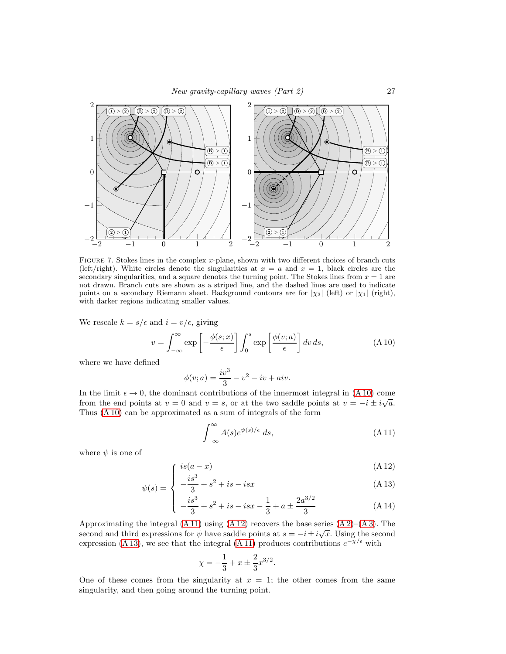

<span id="page-26-0"></span>FIGURE 7. Stokes lines in the complex  $x$ -plane, shown with two different choices of branch cuts (left/right). White circles denote the singularities at  $x = a$  and  $x = 1$ , black circles are the secondary singularities, and a square denotes the turning point. The Stokes lines from  $x = 1$  are not drawn. Branch cuts are shown as a striped line, and the dashed lines are used to indicate points on a secondary Riemann sheet. Background contours are for  $|\chi_3|$  (left) or  $|\chi_1|$  (right), with darker regions indicating smaller values.

We rescale  $k = s/\epsilon$  and  $i = v/\epsilon$ , giving

<span id="page-26-1"></span>
$$
v = \int_{-\infty}^{\infty} \exp\left[-\frac{\phi(s; x)}{\epsilon}\right] \int_{0}^{s} \exp\left[\frac{\phi(v; a)}{\epsilon}\right] dv ds, \tag{A.10}
$$

where we have defined

$$
\phi(v; a) = \frac{iv^3}{3} - v^2 - iv + aiv.
$$

In the limit  $\epsilon \to 0$ , the dominant contributions of the innermost integral in [\(A 10\)](#page-26-1) come from the end points at  $v = 0$  and  $v = s$ , or at the two saddle points at  $v = -i \pm i \sqrt{a}$ . Thus [\(A 10\)](#page-26-1) can be approximated as a sum of integrals of the form

<span id="page-26-2"></span>
$$
\int_{-\infty}^{\infty} A(s)e^{\psi(s)/\epsilon} ds,
$$
\n(A11)

where  $\psi$  is one of

$$
\int \frac{is(a-x)}{a} \tag{A12}
$$

$$
\psi(s) = \begin{cases} -\frac{is^3}{3} + s^2 + is - isx \end{cases}
$$
\n(A13)

$$
\left(-\frac{is^3}{3} + s^2 + is - isx - \frac{1}{3} + a \pm \frac{2a^{3/2}}{3}\right) \tag{A.14}
$$

Approximating the integral  $(A 11)$  using  $(A 12)$  recovers the base series  $(A 2)$ – $(A 3)$ . The second and third expressions for  $\psi$  have saddle points at  $s = -i \pm i \sqrt{x}$ . Using the second expression [\(A 13\)](#page-26-2), we see that the integral [\(A 11\)](#page-26-2) produces contributions  $e^{-\chi/\epsilon}$  with

$$
\chi = -\frac{1}{3} + x \pm \frac{2}{3}x^{3/2}.
$$

One of these comes from the singularity at  $x = 1$ ; the other comes from the same singularity, and then going around the turning point.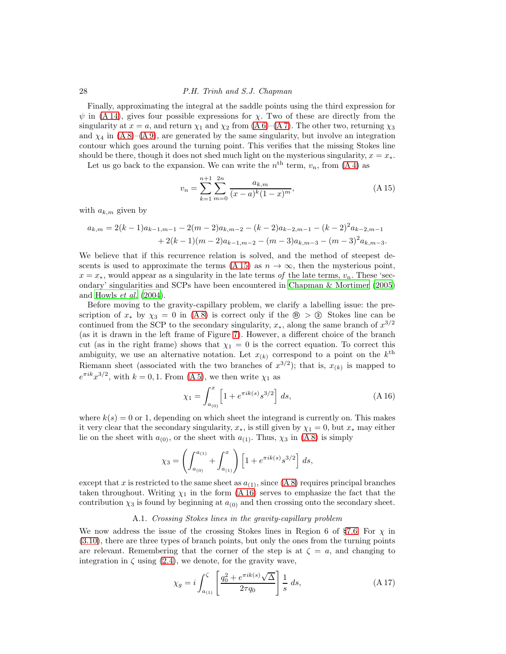Finally, approximating the integral at the saddle points using the third expression for  $\psi$  in [\(A 14\)](#page-26-2), gives four possible expressions for  $\chi$ . Two of these are directly from the singularity at  $x = a$ , and return  $\chi_1$  and  $\chi_2$  from  $(A 6)$ – $(A 7)$ . The other two, returning  $\chi_3$ and  $\chi_4$  in [\(A 8\)](#page-25-0)–[\(A 9\)](#page-25-3), are generated by the same singularity, but involve an integration contour which goes around the turning point. This verifies that the missing Stokes line should be there, though it does not shed much light on the mysterious singularity,  $x = x_*$ .

Let us go back to the expansion. We can write the  $n<sup>th</sup>$  term,  $v_n$ , from  $(A 4)$  as

<span id="page-27-0"></span>
$$
v_n = \sum_{k=1}^{n+1} \sum_{m=0}^{2n} \frac{a_{k,m}}{(x-a)^k (1-x)^m},
$$
\n(A15)

with  $a_{k,m}$  given by

$$
a_{k,m} = 2(k-1)a_{k-1,m-1} - 2(m-2)a_{k,m-2} - (k-2)a_{k-2,m-1} - (k-2)^2 a_{k-2,m-1} + 2(k-1)(m-2)a_{k-1,m-2} - (m-3)a_{k,m-3} - (m-3)^2 a_{k,m-3}.
$$

We believe that if this recurrence relation is solved, and the method of steepest de-scents is used to approximate the terms [\(A 15\)](#page-27-0) as  $n \to \infty$ , then the mysterious point,  $x = x_*$ , would appear as a singularity in the late terms of the late terms,  $v_n$ . These 'secondary' singularities and SCPs have been encountered in [Chapman &](#page-29-0) Mortimer [\(2005\)](#page-29-0) and [Howls](#page-30-4)  $et \ al.$  [\(2004\)](#page-30-4).

Before moving to the gravity-capillary problem, we clarify a labelling issue: the prescription of  $x_*$  by  $\chi_3 = 0$  in [\(A 8\)](#page-25-0) is correct only if the  $\circledast > \circledast$  Stokes line can be continued from the SCP to the secondary singularity,  $x_*$ , along the same branch of  $x^{3/2}$ (as it is drawn in the left frame of Figure [7\)](#page-26-0). However, a different choice of the branch cut (as in the right frame) shows that  $\chi_1 = 0$  is the correct equation. To correct this ambiguity, we use an alternative notation. Let  $x_{(k)}$  correspond to a point on the  $k^{\text{th}}$ Riemann sheet (associated with the two branches of  $x^{3/2}$ ); that is,  $x_{(k)}$  is mapped to  $e^{\pi i k}x^{3/2}$ , with  $k = 0, 1$ . From  $(A 5)$ , we then write  $\chi_1$  as

<span id="page-27-1"></span>
$$
\chi_1 = \int_{a_{(0)}}^x \left[ 1 + e^{\pi i k(s)} s^{3/2} \right] ds,
$$
\n(A16)

where  $k(s) = 0$  or 1, depending on which sheet the integrand is currently on. This makes it very clear that the secondary singularity,  $x_*$ , is still given by  $\chi_1 = 0$ , but  $x_*$  may either lie on the sheet with  $a_{(0)}$ , or the sheet with  $a_{(1)}$ . Thus,  $\chi_3$  in  $(A 8)$  is simply

$$
\chi_3 = \left( \int_{a_{(0)}}^{a_{(1)}} + \int_{a_{(1)}}^{x} \right) \left[ 1 + e^{\pi i k(s)} s^{3/2} \right] ds,
$$

except that x is restricted to the same sheet as  $a_{(1)}$ , since  $(A 8)$  requires principal branches taken throughout. Writing  $\chi_1$  in the form  $(A 16)$  serves to emphasize the fact that the contribution  $\chi_3$  is found by beginning at  $a_{(0)}$  and then crossing onto the secondary sheet.

# A.1. Crossing Stokes lines in the gravity-capillary problem

We now address the issue of the crossing Stokes lines in Region 6 of §[7.6.](#page-21-0) For  $\chi$  in [\(3.10\)](#page-5-0), there are three types of branch points, but only the ones from the turning points are relevant. Remembering that the corner of the step is at  $\zeta = a$ , and changing to integration in  $\zeta$  using [\(2.4\)](#page-3-3), we denote, for the gravity wave,

<span id="page-27-2"></span>
$$
\chi_g = i \int_{a_{(1)}}^{\zeta} \left[ \frac{q_0^2 + e^{\pi i k(s)} \sqrt{\Delta}}{2\tau q_0} \right] \frac{1}{s} ds,
$$
\n(A 17)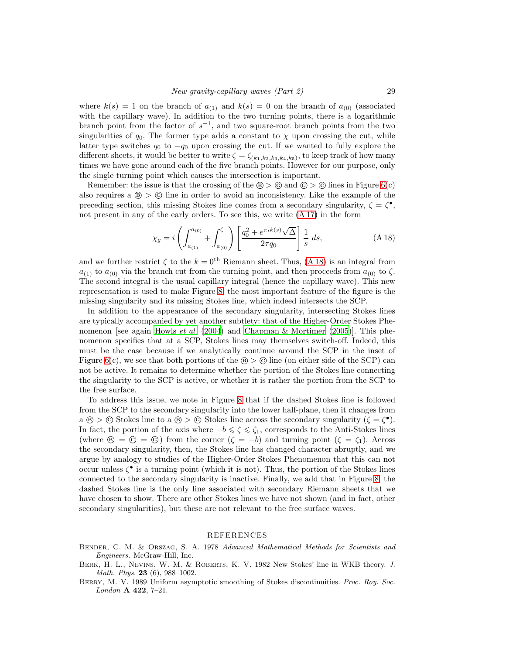where  $k(s) = 1$  on the branch of  $a_{(1)}$  and  $k(s) = 0$  on the branch of  $a_{(0)}$  (associated with the capillary wave). In addition to the two turning points, there is a logarithmic branch point from the factor of  $s^{-1}$ , and two square-root branch points from the two singularities of  $q_0$ . The former type adds a constant to  $\chi$  upon crossing the cut, while latter type switches  $q_0$  to  $-q_0$  upon crossing the cut. If we wanted to fully explore the different sheets, it would be better to write  $\zeta = \zeta_{(k_1,k_2,k_3,k_4,k_5)}$ , to keep track of how many times we have gone around each of the five branch points. However for our purpose, only the single turning point which causes the intersection is important.

Remember: the issue is that the crossing of the  $\mathcal{B} > \mathcal{C}$  and  $\mathcal{C} > \mathcal{C}$  lines in Figure [6\(](#page-22-0)c) also requires a  $\circledast$  >  $\circledast$  line in order to avoid an inconsistency. Like the example of the preceding section, this missing Stokes line comes from a secondary singularity,  $\zeta = \zeta^{\bullet}$ , not present in any of the early orders. To see this, we write [\(A 17\)](#page-27-2) in the form

<span id="page-28-3"></span>
$$
\chi_g = i \left( \int_{a_{(1)}}^{a_{(0)}} + \int_{a_{(0)}}^{\zeta} \right) \left[ \frac{q_0^2 + e^{\pi i k(s)} \sqrt{\Delta}}{2\tau q_0} \right] \frac{1}{s} ds, \tag{A.18}
$$

and we further restrict  $\zeta$  to the  $k = 0$ <sup>th</sup> Riemann sheet. Thus, [\(A 18\)](#page-28-3) is an integral from  $a_{(1)}$  to  $a_{(0)}$  via the branch cut from the turning point, and then proceeds from  $a_{(0)}$  to  $\zeta$ . The second integral is the usual capillary integral (hence the capillary wave). This new representation is used to make Figure [8;](#page-29-9) the most important feature of the figure is the missing singularity and its missing Stokes line, which indeed intersects the SCP.

In addition to the appearance of the secondary singularity, intersecting Stokes lines are typically accompanied by yet another subtlety: that of the Higher-Order Stokes Phe-nomenon [see again [Howls](#page-30-4) *et al.* [\(2004](#page-30-4)) and [Chapman & Mortimer \(2005\)](#page-29-0)]. This phenomenon specifies that at a SCP, Stokes lines may themselves switch-off. Indeed, this must be the case because if we analytically continue around the SCP in the inset of Figure [6\(](#page-22-0)c), we see that both portions of the  $\circledast > \circledcirc$  line (on either side of the SCP) can not be active. It remains to determine whether the portion of the Stokes line connecting the singularity to the SCP is active, or whether it is rather the portion from the SCP to the free surface.

To address this issue, we note in Figure [8](#page-29-9) that if the dashed Stokes line is followed from the SCP to the secondary singularity into the lower half-plane, then it changes from  $a \circledast > \circledcirc$  Stokes line to  $a \circledast > \circledcirc$  Stokes line across the secondary singularity  $(\zeta = \zeta^{\bullet}).$ In fact, the portion of the axis where  $-b \leq \zeta \leq \zeta_1$ , corresponds to the Anti-Stokes lines (where  $\circledast = \circledast = \circledast$ ) from the corner  $(\zeta = -b)$  and turning point  $(\zeta = \zeta_1)$ . Across the secondary singularity, then, the Stokes line has changed character abruptly, and we argue by analogy to studies of the Higher-Order Stokes Phenomenon that this can not occur unless  $\zeta^{\bullet}$  is a turning point (which it is not). Thus, the portion of the Stokes lines connected to the secondary singularity is inactive. Finally, we add that in Figure [8,](#page-29-9) the dashed Stokes line is the only line associated with secondary Riemann sheets that we have chosen to show. There are other Stokes lines we have not shown (and in fact, other secondary singularities), but these are not relevant to the free surface waves.

#### REFERENCES

- <span id="page-28-1"></span>Bender, C. M. & Orszag, S. A. 1978 Advanced Mathematical Methods for Scientists and Engineers. McGraw-Hill, Inc.
- <span id="page-28-2"></span>Berk, H. L., Nevins, W. M. & Roberts, K. V. 1982 New Stokes' line in WKB theory. J. Math. Phys. **23** (6), 988-1002.

<span id="page-28-0"></span>BERRY, M. V. 1989 Uniform asymptotic smoothing of Stokes discontinuities. Proc. Roy. Soc. London A 422, 7-21.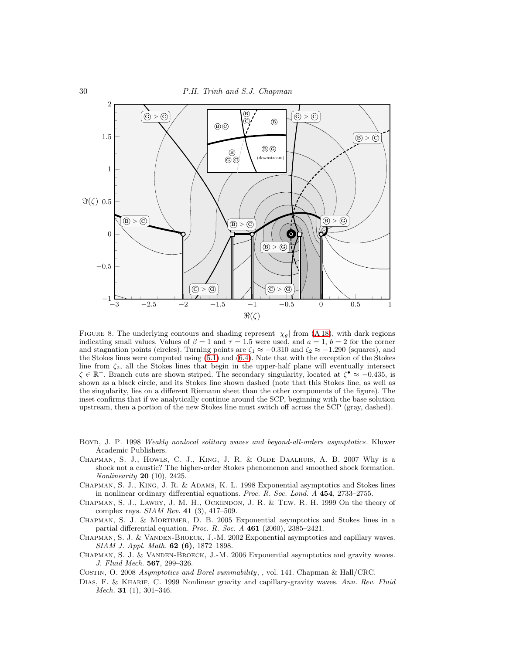

<span id="page-29-9"></span>FIGURE 8. The underlying contours and shading represent  $|\chi_g|$  from [\(A 18\)](#page-28-3), with dark regions indicating small values. Values of  $\beta = 1$  and  $\tau = 1.5$  were used, and  $a = 1, b = 2$  for the corner and stagnation points (circles). Turning points are  $\zeta_1 \approx -0.310$  and  $\zeta_2 \approx -1.290$  (squares), and the Stokes lines were computed using [\(5.1\)](#page-8-0) and [\(6.4\)](#page-13-4). Note that with the exception of the Stokes line from ζ2, all the Stokes lines that begin in the upper-half plane will eventually intersect  $\zeta \in \mathbb{R}^+$ . Branch cuts are shown striped. The secondary singularity, located at  $\zeta^{\bullet} \approx -0.435$ , is shown as a black circle, and its Stokes line shown dashed (note that this Stokes line, as well as the singularity, lies on a different Riemann sheet than the other components of the figure). The inset confirms that if we analytically continue around the SCP, beginning with the base solution upstream, then a portion of the new Stokes line must switch off across the SCP (gray, dashed).

- <span id="page-29-7"></span>Boyd, J. P. 1998 Weakly nonlocal solitary waves and beyond-all-orders asymptotics. Kluwer Academic Publishers.
- <span id="page-29-1"></span>Chapman, S. J., Howls, C. J., King, J. R. & Olde Daalhuis, A. B. 2007 Why is a shock not a caustic? The higher-order Stokes phenomenon and smoothed shock formation. Nonlinearity 20 (10), 2425.
- <span id="page-29-3"></span>Chapman, S. J., King, J. R. & Adams, K. L. 1998 Exponential asymptotics and Stokes lines in nonlinear ordinary differential equations. Proc. R. Soc. Lond. A 454, 2733–2755.
- <span id="page-29-8"></span>Chapman, S. J., Lawry, J. M. H., Ockendon, J. R. & Tew, R. H. 1999 On the theory of complex rays. SIAM Rev. 41 (3), 417–509.
- <span id="page-29-0"></span>Chapman, S. J. & Mortimer, D. B. 2005 Exponential asymptotics and Stokes lines in a partial differential equation. Proc. R. Soc. A 461 (2060), 2385–2421.
- <span id="page-29-4"></span>CHAPMAN, S. J. & VANDEN-BROECK, J.-M. 2002 Exponential asymptotics and capillary waves. SIAM J. Appl. Math. 62 (6), 1872–1898.
- <span id="page-29-5"></span>CHAPMAN, S. J. & VANDEN-BROECK, J.-M. 2006 Exponential asymptotics and gravity waves. J. Fluid Mech. 567, 299–326.
- <span id="page-29-6"></span>Costin, O. 2008 Asymptotics and Borel summability, , vol. 141. Chapman & Hall/CRC.
- <span id="page-29-2"></span>DIAS, F. & KHARIF, C. 1999 Nonlinear gravity and capillary-gravity waves. Ann. Rev. Fluid Mech. 31 $(1), 301-346$ .